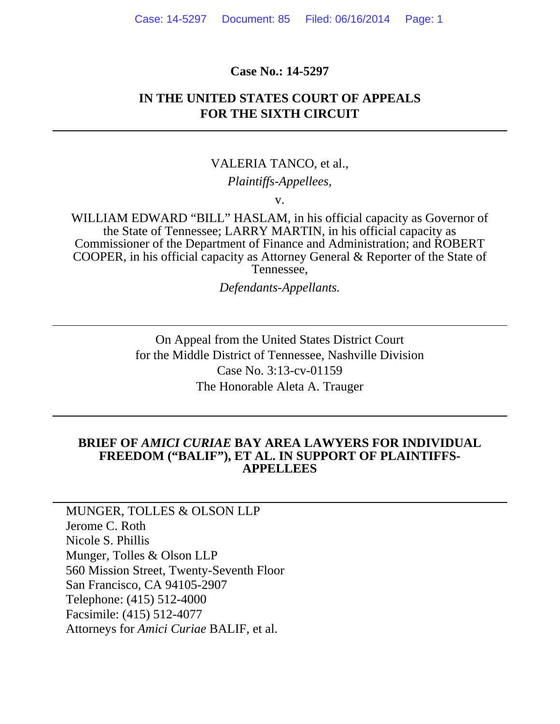#### **Case No.: 14-5297**

### **IN THE UNITED STATES COURT OF APPEALS FOR THE SIXTH CIRCUIT**

#### VALERIA TANCO, et al.,

#### *Plaintiffs-Appellees,*

v.

WILLIAM EDWARD "BILL" HASLAM, in his official capacity as Governor of the State of Tennessee; LARRY MARTIN, in his official capacity as Commissioner of the Department of Finance and Administration; and ROBERT COOPER, in his official capacity as Attorney General & Reporter of the State of Tennessee,

*Defendants-Appellants.* 

On Appeal from the United States District Court for the Middle District of Tennessee, Nashville Division Case No. 3:13-cv-01159 The Honorable Aleta A. Trauger

#### **BRIEF OF** *AMICI CURIAE* **BAY AREA LAWYERS FOR INDIVIDUAL FREEDOM ("BALIF"), ET AL. IN SUPPORT OF PLAINTIFFS-APPELLEES**

MUNGER, TOLLES & OLSON LLP Jerome C. Roth Nicole S. Phillis Munger, Tolles & Olson LLP 560 Mission Street, Twenty-Seventh Floor San Francisco, CA 94105-2907 Telephone: (415) 512-4000 Facsimile: (415) 512-4077 Attorneys for *Amici Curiae* BALIF, et al.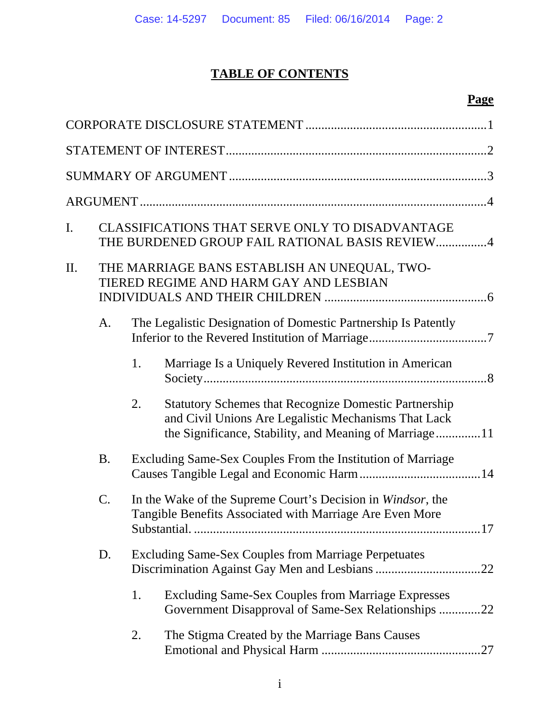# **TABLE OF CONTENTS**

# **Page**

| I. |           |    | CLASSIFICATIONS THAT SERVE ONLY TO DISADVANTAGE<br>THE BURDENED GROUP FAIL RATIONAL BASIS REVIEW4                                                                              |
|----|-----------|----|--------------------------------------------------------------------------------------------------------------------------------------------------------------------------------|
| П. |           |    | THE MARRIAGE BANS ESTABLISH AN UNEQUAL, TWO-<br>TIERED REGIME AND HARM GAY AND LESBIAN                                                                                         |
|    | A.        |    | The Legalistic Designation of Domestic Partnership Is Patently                                                                                                                 |
|    |           | 1. | Marriage Is a Uniquely Revered Institution in American                                                                                                                         |
|    |           | 2. | <b>Statutory Schemes that Recognize Domestic Partnership</b><br>and Civil Unions Are Legalistic Mechanisms That Lack<br>the Significance, Stability, and Meaning of Marriage11 |
|    | <b>B.</b> |    | Excluding Same-Sex Couples From the Institution of Marriage                                                                                                                    |
|    | C.        |    | In the Wake of the Supreme Court's Decision in Windsor, the<br>Tangible Benefits Associated with Marriage Are Even More<br>Substantial                                         |
|    | D.        |    | <b>Excluding Same-Sex Couples from Marriage Perpetuates</b>                                                                                                                    |
|    |           | 1. | <b>Excluding Same-Sex Couples from Marriage Expresses</b><br>Government Disapproval of Same-Sex Relationships 22                                                               |
|    |           | 2. | The Stigma Created by the Marriage Bans Causes                                                                                                                                 |
|    |           |    |                                                                                                                                                                                |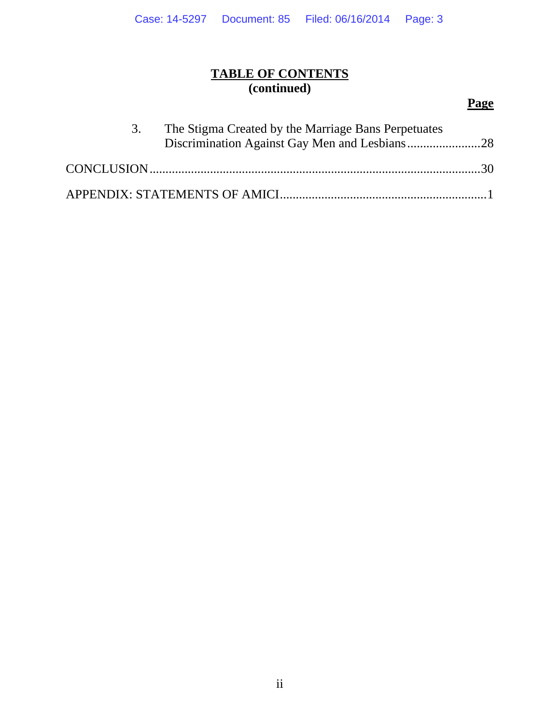## **TABLE OF CONTENTS (continued)**

# **Page**

| 3. | The Stigma Created by the Marriage Bans Perpetuates |  |
|----|-----------------------------------------------------|--|
|    |                                                     |  |
|    |                                                     |  |
|    |                                                     |  |
|    |                                                     |  |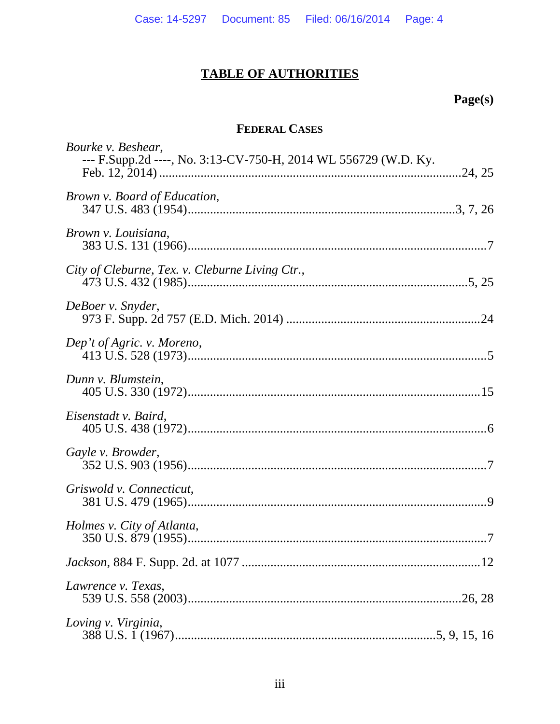# **TABLE OF AUTHORITIES**

# Page(s)

# FEDERAL CASES

| Bourke v. Beshear,<br>--- F.Supp.2d ----, No. 3:13-CV-750-H, 2014 WL 556729 (W.D. Ky. |
|---------------------------------------------------------------------------------------|
| Brown v. Board of Education,                                                          |
| Brown v. Louisiana,                                                                   |
| City of Cleburne, Tex. v. Cleburne Living Ctr.,                                       |
| DeBoer v. Snyder,                                                                     |
| Dep't of Agric. v. Moreno,                                                            |
| Dunn v. Blumstein,                                                                    |
| Eisenstadt v. Baird,                                                                  |
| Gayle v. Browder,                                                                     |
| Griswold v. Connecticut,                                                              |
| Holmes v. City of Atlanta,                                                            |
|                                                                                       |
| Lawrence v. Texas,                                                                    |
| Loving v. Virginia,                                                                   |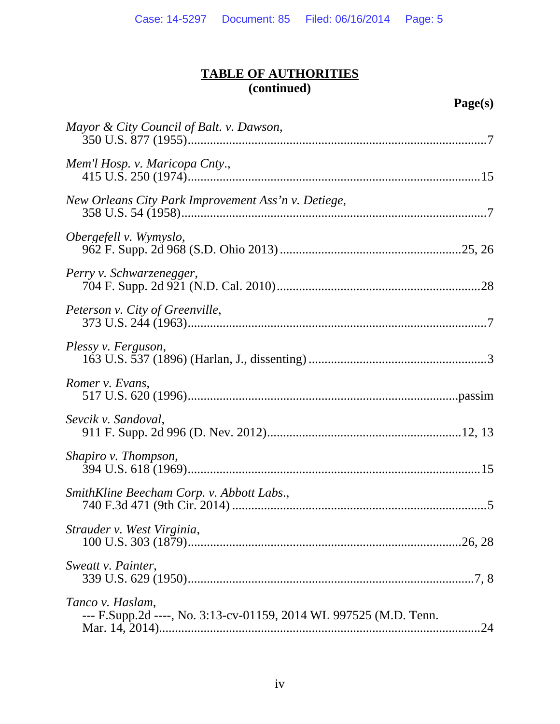| Mayor & City Council of Balt. v. Dawson,                                              |
|---------------------------------------------------------------------------------------|
| Mem'l Hosp. v. Maricopa Cnty.,                                                        |
| New Orleans City Park Improvement Ass'n v. Detiege,                                   |
| Obergefell v. Wymyslo,                                                                |
| Perry v. Schwarzenegger,                                                              |
| Peterson v. City of Greenville,                                                       |
| Plessy v. Ferguson,                                                                   |
| Romer v. Evans,                                                                       |
| Sevcik v. Sandoval,                                                                   |
| Shapiro v. Thompson,                                                                  |
| SmithKline Beecham Corp. v. Abbott Labs.,                                             |
| Strauder v. West Virginia,                                                            |
| Sweatt v. Painter,                                                                    |
| Tanco v. Haslam,<br>--- F.Supp.2d ----, No. 3:13-cv-01159, 2014 WL 997525 (M.D. Tenn. |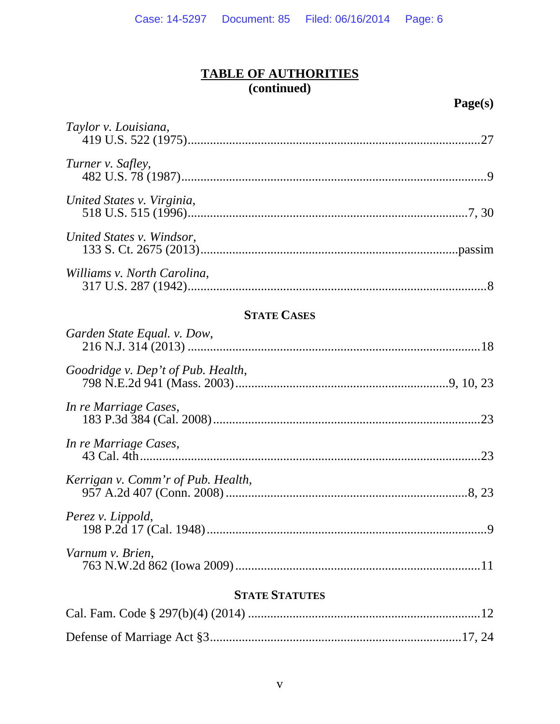| Taylor v. Louisiana,               | .27 |
|------------------------------------|-----|
|                                    |     |
| Turner v. Safley,                  |     |
| United States v. Virginia,         |     |
| United States v. Windsor,          |     |
| Williams v. North Carolina,        |     |
| <b>STATE CASES</b>                 |     |
| Garden State Equal. v. Dow,        |     |
| Goodridge v. Dep't of Pub. Health, |     |

| In re Marriage Cases,              |  |
|------------------------------------|--|
| In re Marriage Cases,              |  |
| Kerrigan v. Comm'r of Pub. Health, |  |
| Perez v. Lippold,                  |  |
|                                    |  |

| Varnum v. Brien, |  |
|------------------|--|
|                  |  |

## **STATE STATUTES**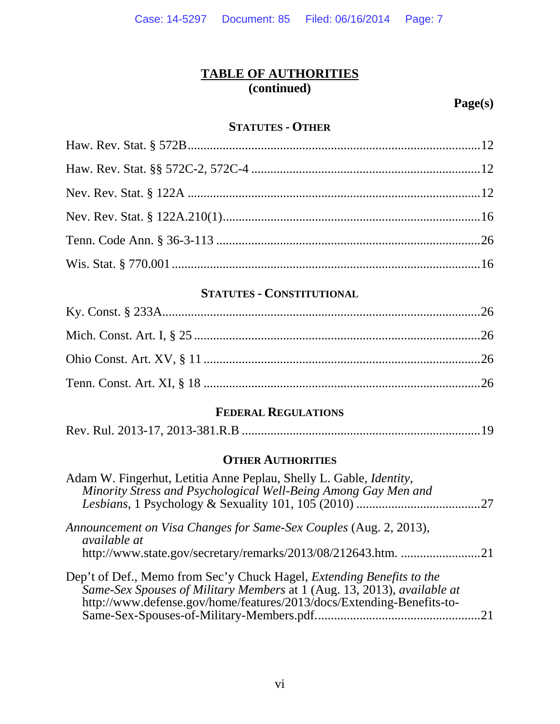**Page(s)** 

### **STATUTES - OTHER**

## **STATUTES - CONSTITUTIONAL**

# **FEDERAL REGULATIONS**

|--|--|

## **OTHER AUTHORITIES**

| Adam W. Fingerhut, Letitia Anne Peplau, Shelly L. Gable, <i>Identity</i> ,<br>Minority Stress and Psychological Well-Being Among Gay Men and                                                                                     |  |
|----------------------------------------------------------------------------------------------------------------------------------------------------------------------------------------------------------------------------------|--|
|                                                                                                                                                                                                                                  |  |
| Announcement on Visa Changes for Same-Sex Couples (Aug. 2, 2013),<br><i>available at</i>                                                                                                                                         |  |
| http://www.state.gov/secretary/remarks/2013/08/212643.htm. 21                                                                                                                                                                    |  |
| Dep't of Def., Memo from Sec'y Chuck Hagel, <i>Extending Benefits to the</i><br>Same-Sex Spouses of Military Members at 1 (Aug. 13, 2013), available at<br>http://www.defense.gov/home/features/2013/docs/Extending-Benefits-to- |  |
|                                                                                                                                                                                                                                  |  |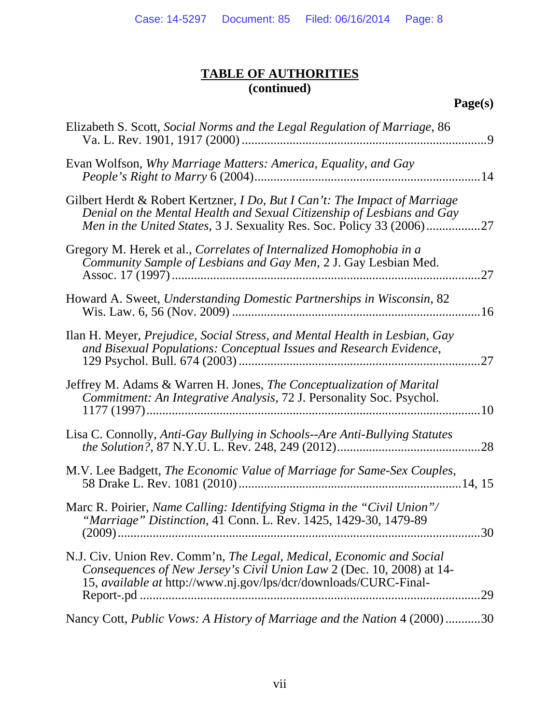| Elizabeth S. Scott, Social Norms and the Legal Regulation of Marriage, 86<br>$\cdot$ 9                                                                                                                                               |
|--------------------------------------------------------------------------------------------------------------------------------------------------------------------------------------------------------------------------------------|
| Evan Wolfson, Why Marriage Matters: America, Equality, and Gay                                                                                                                                                                       |
| Gilbert Herdt & Robert Kertzner, <i>I Do, But I Can't: The Impact of Marriage</i><br>Denial on the Mental Health and Sexual Citizenship of Lesbians and Gay<br>Men in the United States, 3 J. Sexuality Res. Soc. Policy 33 (2006)27 |
| Gregory M. Herek et al., Correlates of Internalized Homophobia in a<br>Community Sample of Lesbians and Gay Men, 2 J. Gay Lesbian Med.<br>.27                                                                                        |
| Howard A. Sweet, Understanding Domestic Partnerships in Wisconsin, 82                                                                                                                                                                |
| Ilan H. Meyer, Prejudice, Social Stress, and Mental Health in Lesbian, Gay<br>and Bisexual Populations: Conceptual Issues and Research Evidence,<br>27                                                                               |
| Jeffrey M. Adams & Warren H. Jones, <i>The Conceptualization of Marital</i><br>Commitment: An Integrative Analysis, 72 J. Personality Soc. Psychol.<br>.10                                                                           |
| Lisa C. Connolly, Anti-Gay Bullying in Schools--Are Anti-Bullying Statutes<br>.28                                                                                                                                                    |
| M.V. Lee Badgett, The Economic Value of Marriage for Same-Sex Couples,                                                                                                                                                               |
| Marc R. Poirier, Name Calling: Identifying Stigma in the "Civil Union"/<br>"Marriage" Distinction, 41 Conn. L. Rev. 1425, 1429-30, 1479-89                                                                                           |
| N.J. Civ. Union Rev. Comm'n, The Legal, Medical, Economic and Social<br>Consequences of New Jersey's Civil Union Law 2 (Dec. 10, 2008) at 14-<br>15, available at http://www.nj.gov/lps/dcr/downloads/CURC-Final-<br>.29             |
| Nancy Cott, Public Vows: A History of Marriage and the Nation 4 (2000)30                                                                                                                                                             |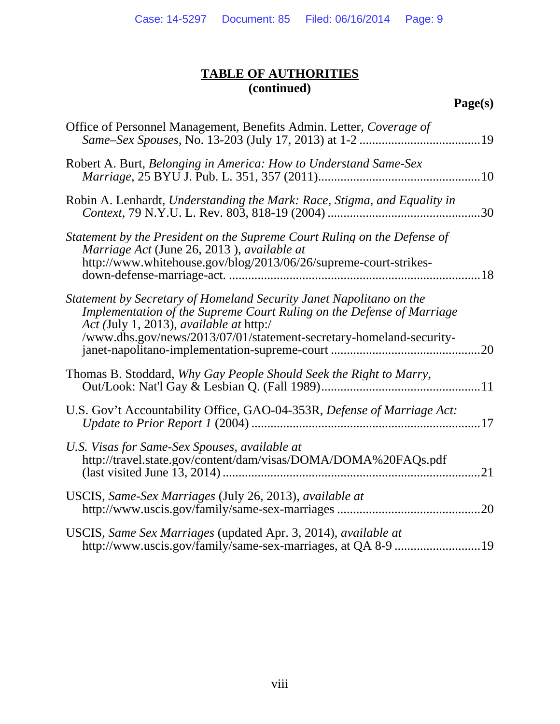| Office of Personnel Management, Benefits Admin. Letter, Coverage of                                                                                                                                                                                            |
|----------------------------------------------------------------------------------------------------------------------------------------------------------------------------------------------------------------------------------------------------------------|
| Robert A. Burt, Belonging in America: How to Understand Same-Sex                                                                                                                                                                                               |
| Robin A. Lenhardt, Understanding the Mark: Race, Stigma, and Equality in                                                                                                                                                                                       |
| Statement by the President on the Supreme Court Ruling on the Defense of<br>Marriage Act (June 26, 2013), available at<br>http://www.whitehouse.gov/blog/2013/06/26/supreme-court-strikes-                                                                     |
| Statement by Secretary of Homeland Security Janet Napolitano on the<br>Implementation of the Supreme Court Ruling on the Defense of Marriage<br>Act (July 1, 2013), available at http:/<br>/www.dhs.gov/news/2013/07/01/statement-secretary-homeland-security- |
| Thomas B. Stoddard, Why Gay People Should Seek the Right to Marry,                                                                                                                                                                                             |
| U.S. Gov't Accountability Office, GAO-04-353R, Defense of Marriage Act:                                                                                                                                                                                        |
| U.S. Visas for Same-Sex Spouses, available at<br>http://travel.state.gov/content/dam/visas/DOMA/DOMA%20FAQs.pdf                                                                                                                                                |
| USCIS, Same-Sex Marriages (July 26, 2013), available at<br>.20                                                                                                                                                                                                 |
| USCIS, Same Sex Marriages (updated Apr. 3, 2014), available at                                                                                                                                                                                                 |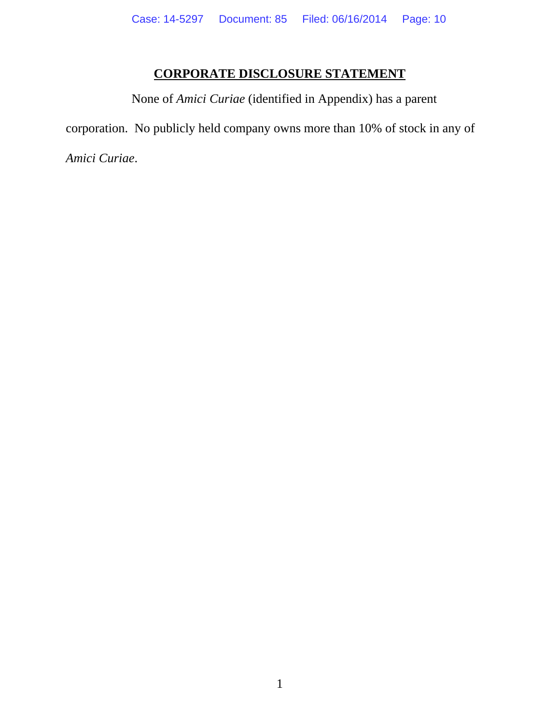# **CORPORATE DISCLOSURE STATEMENT**

None of *Amici Curiae* (identified in Appendix) has a parent corporation. No publicly held company owns more than 10% of stock in any of *Amici Curiae*.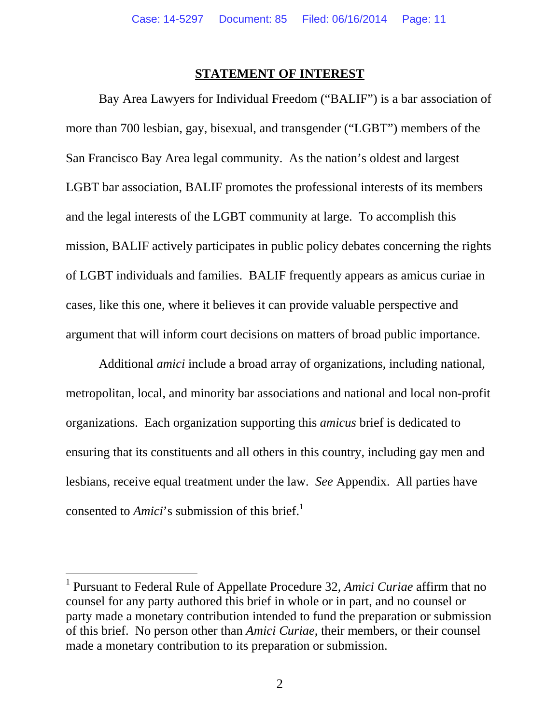### **STATEMENT OF INTEREST**

Bay Area Lawyers for Individual Freedom ("BALIF") is a bar association of more than 700 lesbian, gay, bisexual, and transgender ("LGBT") members of the San Francisco Bay Area legal community. As the nation's oldest and largest LGBT bar association, BALIF promotes the professional interests of its members and the legal interests of the LGBT community at large. To accomplish this mission, BALIF actively participates in public policy debates concerning the rights of LGBT individuals and families. BALIF frequently appears as amicus curiae in cases, like this one, where it believes it can provide valuable perspective and argument that will inform court decisions on matters of broad public importance.

Additional *amici* include a broad array of organizations, including national, metropolitan, local, and minority bar associations and national and local non-profit organizations. Each organization supporting this *amicus* brief is dedicated to ensuring that its constituents and all others in this country, including gay men and lesbians, receive equal treatment under the law. *See* Appendix. All parties have consented to *Amici*'s submission of this brief.<sup>1</sup>

 $\overline{a}$ 

<sup>&</sup>lt;sup>1</sup> Pursuant to Federal Rule of Appellate Procedure 32, *Amici Curiae* affirm that no counsel for any party authored this brief in whole or in part, and no counsel or party made a monetary contribution intended to fund the preparation or submission of this brief. No person other than *Amici Curiae*, their members, or their counsel made a monetary contribution to its preparation or submission.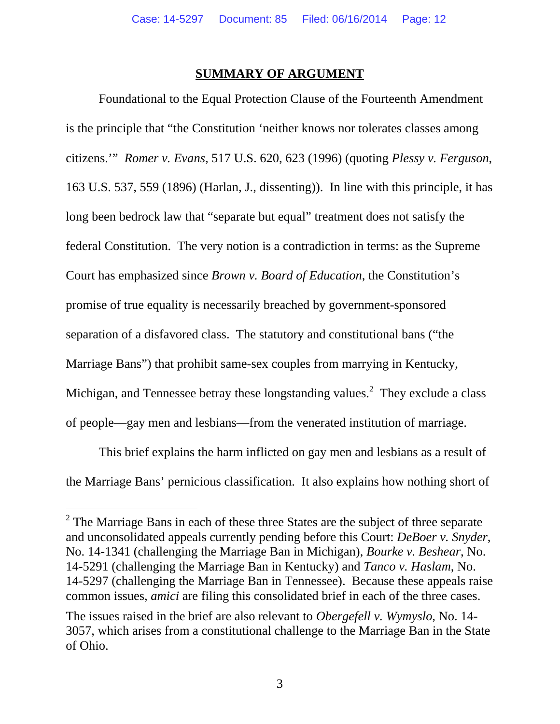#### **SUMMARY OF ARGUMENT**

Foundational to the Equal Protection Clause of the Fourteenth Amendment is the principle that "the Constitution 'neither knows nor tolerates classes among citizens.'" *Romer v. Evans*, 517 U.S. 620, 623 (1996) (quoting *Plessy v. Ferguson*, 163 U.S. 537, 559 (1896) (Harlan, J., dissenting)). In line with this principle, it has long been bedrock law that "separate but equal" treatment does not satisfy the federal Constitution. The very notion is a contradiction in terms: as the Supreme Court has emphasized since *Brown v. Board of Education*, the Constitution's promise of true equality is necessarily breached by government-sponsored separation of a disfavored class. The statutory and constitutional bans ("the Marriage Bans") that prohibit same-sex couples from marrying in Kentucky, Michigan, and Tennessee betray these longstanding values.<sup>2</sup> They exclude a class of people—gay men and lesbians—from the venerated institution of marriage.

This brief explains the harm inflicted on gay men and lesbians as a result of the Marriage Bans' pernicious classification. It also explains how nothing short of

-

 $2^2$  The Marriage Bans in each of these three States are the subject of three separate and unconsolidated appeals currently pending before this Court: *DeBoer v. Snyder*, No. 14-1341 (challenging the Marriage Ban in Michigan), *Bourke v. Beshear*, No. 14-5291 (challenging the Marriage Ban in Kentucky) and *Tanco v. Haslam*, No. 14-5297 (challenging the Marriage Ban in Tennessee). Because these appeals raise common issues, *amici* are filing this consolidated brief in each of the three cases.

The issues raised in the brief are also relevant to *Obergefell v. Wymyslo*, No. 14- 3057, which arises from a constitutional challenge to the Marriage Ban in the State of Ohio.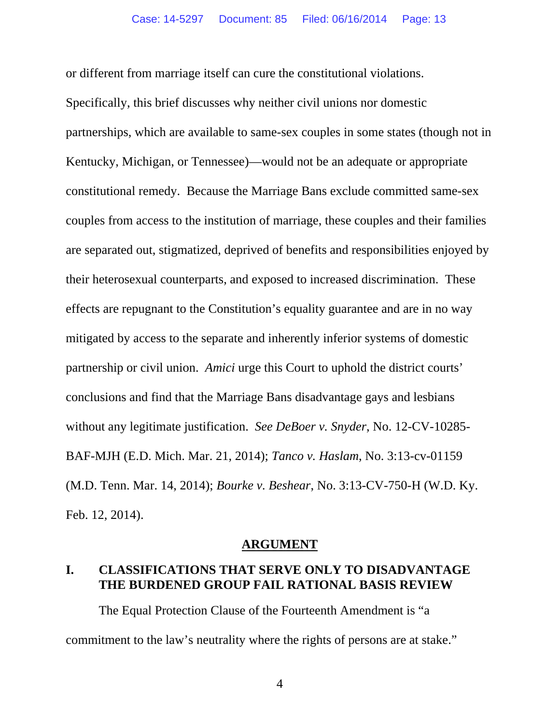or different from marriage itself can cure the constitutional violations.

Specifically, this brief discusses why neither civil unions nor domestic partnerships, which are available to same-sex couples in some states (though not in Kentucky, Michigan, or Tennessee)—would not be an adequate or appropriate constitutional remedy. Because the Marriage Bans exclude committed same-sex couples from access to the institution of marriage, these couples and their families are separated out, stigmatized, deprived of benefits and responsibilities enjoyed by their heterosexual counterparts, and exposed to increased discrimination. These effects are repugnant to the Constitution's equality guarantee and are in no way mitigated by access to the separate and inherently inferior systems of domestic partnership or civil union. *Amici* urge this Court to uphold the district courts' conclusions and find that the Marriage Bans disadvantage gays and lesbians without any legitimate justification. *See DeBoer v. Snyder*, No. 12-CV-10285- BAF-MJH (E.D. Mich. Mar. 21, 2014); *Tanco v. Haslam*, No. 3:13-cv-01159 (M.D. Tenn. Mar. 14, 2014); *Bourke v. Beshear*, No. 3:13-CV-750-H (W.D. Ky. Feb. 12, 2014).

#### **ARGUMENT**

### **I. CLASSIFICATIONS THAT SERVE ONLY TO DISADVANTAGE THE BURDENED GROUP FAIL RATIONAL BASIS REVIEW**

The Equal Protection Clause of the Fourteenth Amendment is "a commitment to the law's neutrality where the rights of persons are at stake."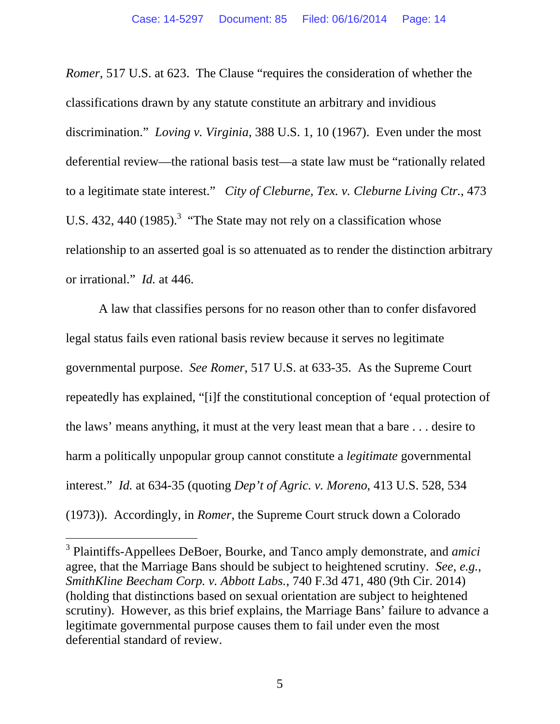*Romer*, 517 U.S. at 623. The Clause "requires the consideration of whether the classifications drawn by any statute constitute an arbitrary and invidious discrimination." *Loving v. Virginia*, 388 U.S. 1, 10 (1967).Even under the most deferential review—the rational basis test—a state law must be "rationally related to a legitimate state interest." *City of Cleburne, Tex. v. Cleburne Living Ctr.*, 473 U.S. 432, 440  $(1985)$ .<sup>3</sup> "The State may not rely on a classification whose relationship to an asserted goal is so attenuated as to render the distinction arbitrary or irrational." *Id.* at 446.

A law that classifies persons for no reason other than to confer disfavored legal status fails even rational basis review because it serves no legitimate governmental purpose. *See Romer*, 517 U.S. at 633-35. As the Supreme Court repeatedly has explained, "[i]f the constitutional conception of 'equal protection of the laws' means anything, it must at the very least mean that a bare . . . desire to harm a politically unpopular group cannot constitute a *legitimate* governmental interest." *Id.* at 634-35 (quoting *Dep't of Agric. v. Moreno*, 413 U.S. 528, 534 (1973)). Accordingly, in *Romer*, the Supreme Court struck down a Colorado

-

<sup>3</sup> Plaintiffs-Appellees DeBoer, Bourke, and Tanco amply demonstrate, and *amici* agree, that the Marriage Bans should be subject to heightened scrutiny. *See, e.g.*, *SmithKline Beecham Corp. v. Abbott Labs.*, 740 F.3d 471, 480 (9th Cir. 2014) (holding that distinctions based on sexual orientation are subject to heightened scrutiny).However, as this brief explains, the Marriage Bans' failure to advance a legitimate governmental purpose causes them to fail under even the most deferential standard of review.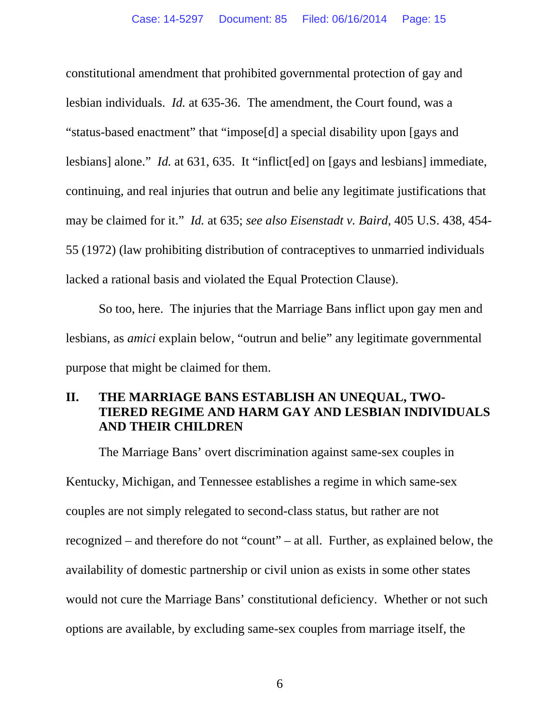constitutional amendment that prohibited governmental protection of gay and lesbian individuals. *Id.* at 635-36.The amendment, the Court found, was a "status-based enactment" that "impose[d] a special disability upon [gays and lesbians] alone." *Id.* at 631, 635. It "inflict[ed] on [gays and lesbians] immediate, continuing, and real injuries that outrun and belie any legitimate justifications that may be claimed for it." *Id.* at 635; *see also Eisenstadt v. Baird*, 405 U.S. 438, 454- 55 (1972) (law prohibiting distribution of contraceptives to unmarried individuals lacked a rational basis and violated the Equal Protection Clause).

So too, here. The injuries that the Marriage Bans inflict upon gay men and lesbians, as *amici* explain below, "outrun and belie" any legitimate governmental purpose that might be claimed for them.

## **II. THE MARRIAGE BANS ESTABLISH AN UNEQUAL, TWO-TIERED REGIME AND HARM GAY AND LESBIAN INDIVIDUALS AND THEIR CHILDREN**

The Marriage Bans' overt discrimination against same-sex couples in Kentucky, Michigan, and Tennessee establishes a regime in which same-sex couples are not simply relegated to second-class status, but rather are not recognized – and therefore do not "count" – at all. Further, as explained below, the availability of domestic partnership or civil union as exists in some other states would not cure the Marriage Bans' constitutional deficiency. Whether or not such options are available, by excluding same-sex couples from marriage itself, the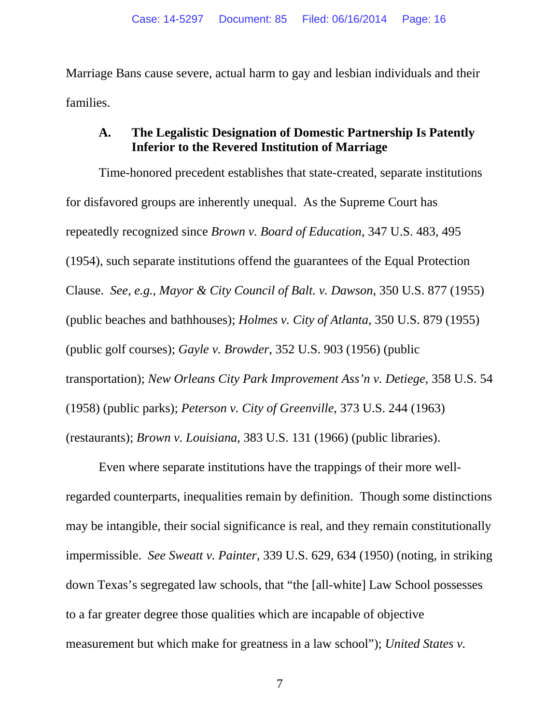Marriage Bans cause severe, actual harm to gay and lesbian individuals and their families.

## **A. The Legalistic Designation of Domestic Partnership Is Patently Inferior to the Revered Institution of Marriage**

Time-honored precedent establishes that state-created, separate institutions for disfavored groups are inherently unequal. As the Supreme Court has repeatedly recognized since *Brown v. Board of Education*, 347 U.S. 483, 495 (1954), such separate institutions offend the guarantees of the Equal Protection Clause. *See, e.g.*, *Mayor & City Council of Balt. v. Dawson*, 350 U.S. 877 (1955) (public beaches and bathhouses); *Holmes v. City of Atlanta*, 350 U.S. 879 (1955) (public golf courses); *Gayle v. Browder*, 352 U.S. 903 (1956) (public transportation); *New Orleans City Park Improvement Ass'n v. Detiege*, 358 U.S. 54 (1958) (public parks); *Peterson v. City of Greenville*, 373 U.S. 244 (1963) (restaurants); *Brown v. Louisiana*, 383 U.S. 131 (1966) (public libraries).

Even where separate institutions have the trappings of their more wellregarded counterparts, inequalities remain by definition. Though some distinctions may be intangible, their social significance is real, and they remain constitutionally impermissible. *See Sweatt v. Painter*, 339 U.S. 629, 634 (1950) (noting, in striking down Texas's segregated law schools, that "the [all-white] Law School possesses to a far greater degree those qualities which are incapable of objective measurement but which make for greatness in a law school"); *United States v.*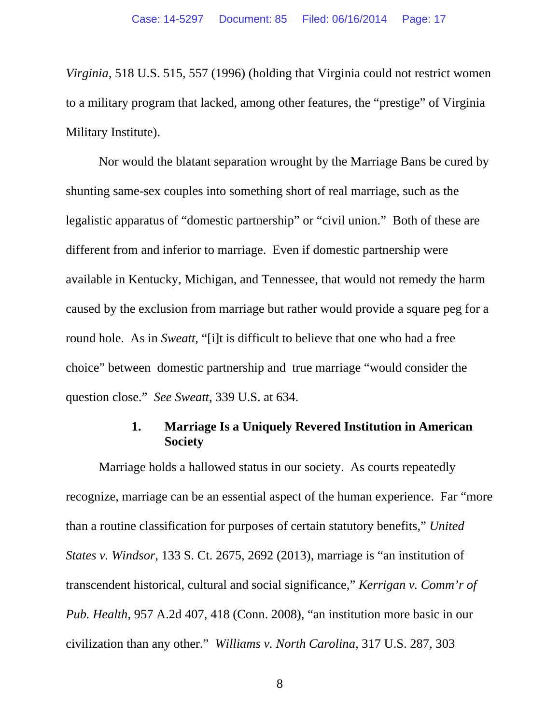*Virginia*, 518 U.S. 515, 557 (1996) (holding that Virginia could not restrict women to a military program that lacked, among other features, the "prestige" of Virginia Military Institute).

Nor would the blatant separation wrought by the Marriage Bans be cured by shunting same-sex couples into something short of real marriage, such as the legalistic apparatus of "domestic partnership" or "civil union." Both of these are different from and inferior to marriage. Even if domestic partnership were available in Kentucky, Michigan, and Tennessee, that would not remedy the harm caused by the exclusion from marriage but rather would provide a square peg for a round hole. As in *Sweatt,* "[i]t is difficult to believe that one who had a free choice" between domestic partnership and true marriage "would consider the question close." *See Sweatt*, 339 U.S. at 634.

### **1. Marriage Is a Uniquely Revered Institution in American Society**

Marriage holds a hallowed status in our society. As courts repeatedly recognize, marriage can be an essential aspect of the human experience. Far "more than a routine classification for purposes of certain statutory benefits," *United States v. Windsor*, 133 S. Ct. 2675, 2692 (2013), marriage is "an institution of transcendent historical, cultural and social significance," *Kerrigan v. Comm'r of Pub. Health*, 957 A.2d 407, 418 (Conn. 2008), "an institution more basic in our civilization than any other." *Williams v. North Carolina*, 317 U.S. 287, 303

8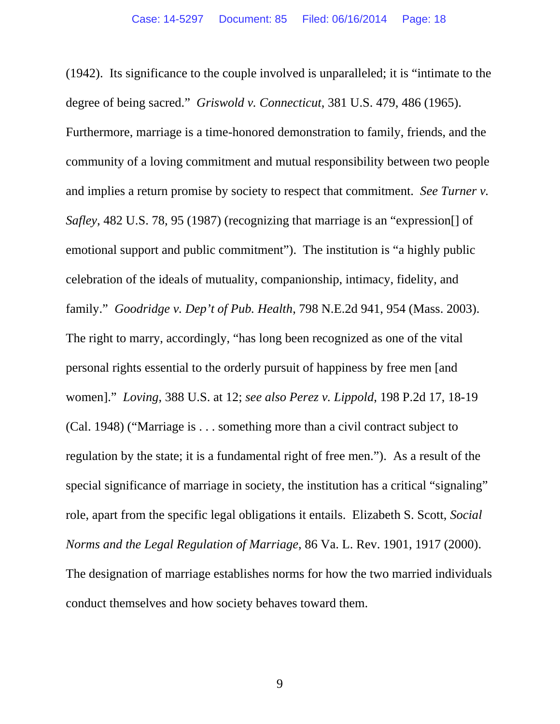(1942). Its significance to the couple involved is unparalleled; it is "intimate to the degree of being sacred." *Griswold v. Connecticut*, 381 U.S. 479, 486 (1965). Furthermore, marriage is a time-honored demonstration to family, friends, and the community of a loving commitment and mutual responsibility between two people and implies a return promise by society to respect that commitment. *See Turner v. Safley*, 482 U.S. 78, 95 (1987) (recognizing that marriage is an "expression[] of emotional support and public commitment"). The institution is "a highly public celebration of the ideals of mutuality, companionship, intimacy, fidelity, and family." *Goodridge v. Dep't of Pub. Health*, 798 N.E.2d 941, 954 (Mass. 2003). The right to marry, accordingly, "has long been recognized as one of the vital personal rights essential to the orderly pursuit of happiness by free men [and women]." *Loving*, 388 U.S. at 12; *see also Perez v. Lippold*, 198 P.2d 17, 18-19 (Cal. 1948) ("Marriage is . . . something more than a civil contract subject to regulation by the state; it is a fundamental right of free men."). As a result of the special significance of marriage in society, the institution has a critical "signaling" role, apart from the specific legal obligations it entails. Elizabeth S. Scott, *Social Norms and the Legal Regulation of Marriage*, 86 Va. L. Rev. 1901, 1917 (2000). The designation of marriage establishes norms for how the two married individuals conduct themselves and how society behaves toward them.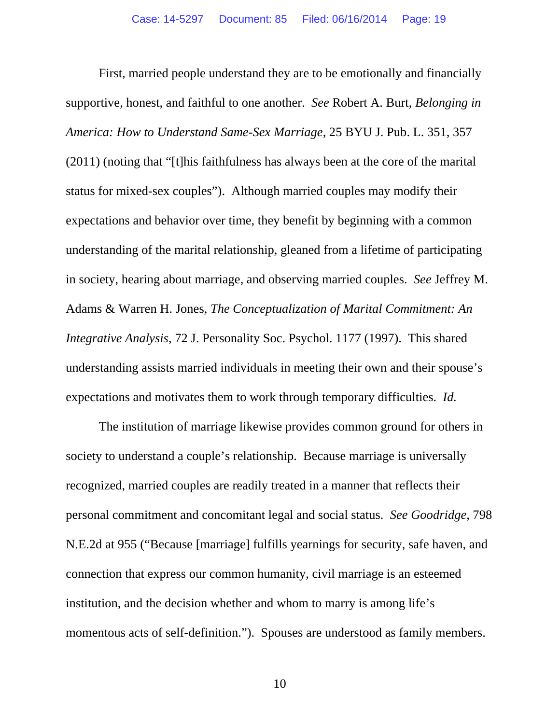First, married people understand they are to be emotionally and financially supportive, honest, and faithful to one another. *See* Robert A. Burt, *Belonging in America: How to Understand Same-Sex Marriage*, 25 BYU J. Pub. L. 351, 357 (2011) (noting that "[t]his faithfulness has always been at the core of the marital status for mixed-sex couples"). Although married couples may modify their expectations and behavior over time, they benefit by beginning with a common understanding of the marital relationship, gleaned from a lifetime of participating in society, hearing about marriage, and observing married couples. *See* Jeffrey M. Adams & Warren H. Jones, *The Conceptualization of Marital Commitment: An Integrative Analysis*, 72 J. Personality Soc. Psychol. 1177 (1997). This shared understanding assists married individuals in meeting their own and their spouse's expectations and motivates them to work through temporary difficulties. *Id.* 

The institution of marriage likewise provides common ground for others in society to understand a couple's relationship. Because marriage is universally recognized, married couples are readily treated in a manner that reflects their personal commitment and concomitant legal and social status. *See Goodridge*, 798 N.E.2d at 955 ("Because [marriage] fulfills yearnings for security, safe haven, and connection that express our common humanity, civil marriage is an esteemed institution, and the decision whether and whom to marry is among life's momentous acts of self-definition."). Spouses are understood as family members.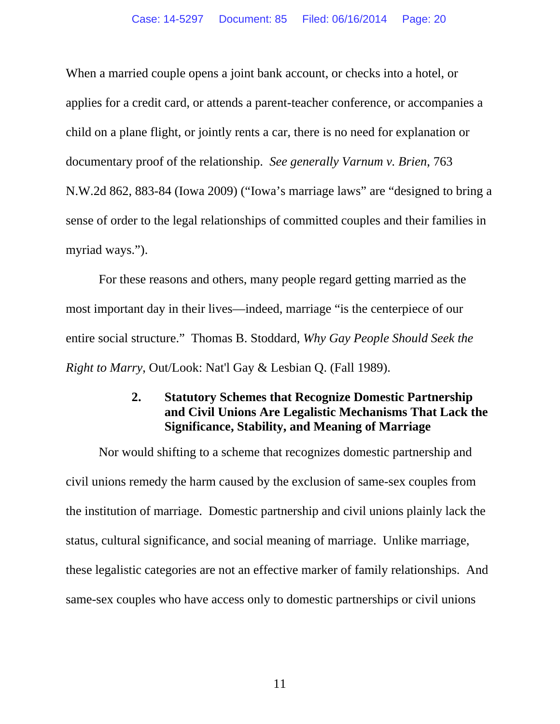When a married couple opens a joint bank account, or checks into a hotel, or applies for a credit card, or attends a parent-teacher conference, or accompanies a child on a plane flight, or jointly rents a car, there is no need for explanation or documentary proof of the relationship. *See generally Varnum v. Brien*, 763 N.W.2d 862, 883-84 (Iowa 2009) ("Iowa's marriage laws" are "designed to bring a sense of order to the legal relationships of committed couples and their families in myriad ways.").

For these reasons and others, many people regard getting married as the most important day in their lives—indeed, marriage "is the centerpiece of our entire social structure." Thomas B. Stoddard, *Why Gay People Should Seek the Right to Marry*, Out/Look: Nat'l Gay & Lesbian Q. (Fall 1989).

## **2. Statutory Schemes that Recognize Domestic Partnership and Civil Unions Are Legalistic Mechanisms That Lack the Significance, Stability, and Meaning of Marriage**

Nor would shifting to a scheme that recognizes domestic partnership and civil unions remedy the harm caused by the exclusion of same-sex couples from the institution of marriage. Domestic partnership and civil unions plainly lack the status, cultural significance, and social meaning of marriage. Unlike marriage, these legalistic categories are not an effective marker of family relationships. And same-sex couples who have access only to domestic partnerships or civil unions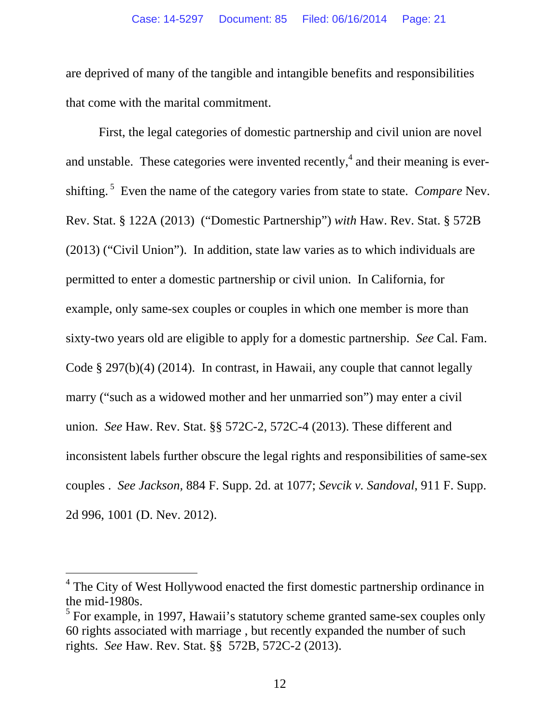are deprived of many of the tangible and intangible benefits and responsibilities that come with the marital commitment.

First, the legal categories of domestic partnership and civil union are novel and unstable. These categories were invented recently,<sup>4</sup> and their meaning is evershifting. 5 Even the name of the category varies from state to state. *Compare* Nev. Rev. Stat. § 122A (2013) ("Domestic Partnership") *with* Haw. Rev. Stat. § 572B (2013) ("Civil Union"). In addition, state law varies as to which individuals are permitted to enter a domestic partnership or civil union. In California, for example, only same-sex couples or couples in which one member is more than sixty-two years old are eligible to apply for a domestic partnership. *See* Cal. Fam. Code § 297(b)(4) (2014). In contrast, in Hawaii, any couple that cannot legally marry ("such as a widowed mother and her unmarried son") may enter a civil union. *See* Haw. Rev. Stat. §§ 572C-2, 572C-4 (2013). These different and inconsistent labels further obscure the legal rights and responsibilities of same-sex couples . *See Jackson,* 884 F. Supp. 2d. at 1077; *Sevcik v. Sandoval*, 911 F. Supp. 2d 996, 1001 (D. Nev. 2012).

 $\overline{a}$ 

<sup>&</sup>lt;sup>4</sup> The City of West Hollywood enacted the first domestic partnership ordinance in the mid-1980s.

 $<sup>5</sup>$  For example, in 1997, Hawaii's statutory scheme granted same-sex couples only</sup> 60 rights associated with marriage , but recently expanded the number of such rights. *See* Haw. Rev. Stat. §§ 572B, 572C-2 (2013).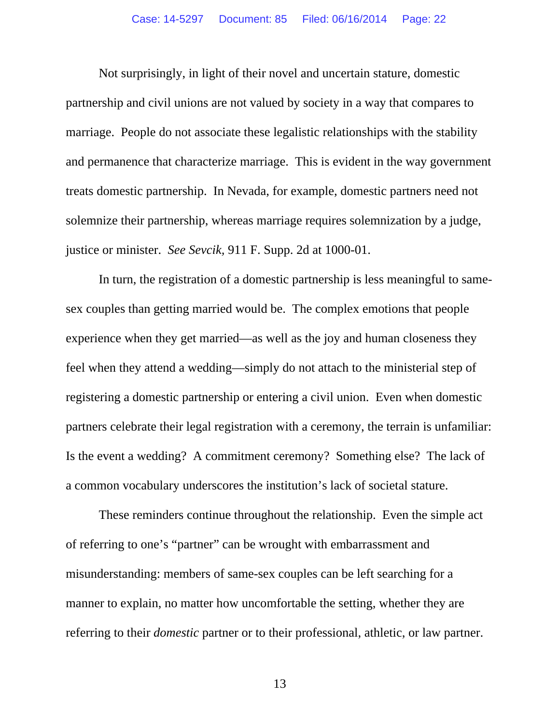Not surprisingly, in light of their novel and uncertain stature, domestic partnership and civil unions are not valued by society in a way that compares to marriage. People do not associate these legalistic relationships with the stability and permanence that characterize marriage. This is evident in the way government treats domestic partnership. In Nevada, for example, domestic partners need not solemnize their partnership, whereas marriage requires solemnization by a judge, justice or minister. *See Sevcik,* 911 F. Supp. 2d at 1000-01.

In turn, the registration of a domestic partnership is less meaningful to samesex couples than getting married would be. The complex emotions that people experience when they get married—as well as the joy and human closeness they feel when they attend a wedding—simply do not attach to the ministerial step of registering a domestic partnership or entering a civil union. Even when domestic partners celebrate their legal registration with a ceremony, the terrain is unfamiliar: Is the event a wedding? A commitment ceremony? Something else? The lack of a common vocabulary underscores the institution's lack of societal stature.

These reminders continue throughout the relationship. Even the simple act of referring to one's "partner" can be wrought with embarrassment and misunderstanding: members of same-sex couples can be left searching for a manner to explain, no matter how uncomfortable the setting, whether they are referring to their *domestic* partner or to their professional, athletic, or law partner.

13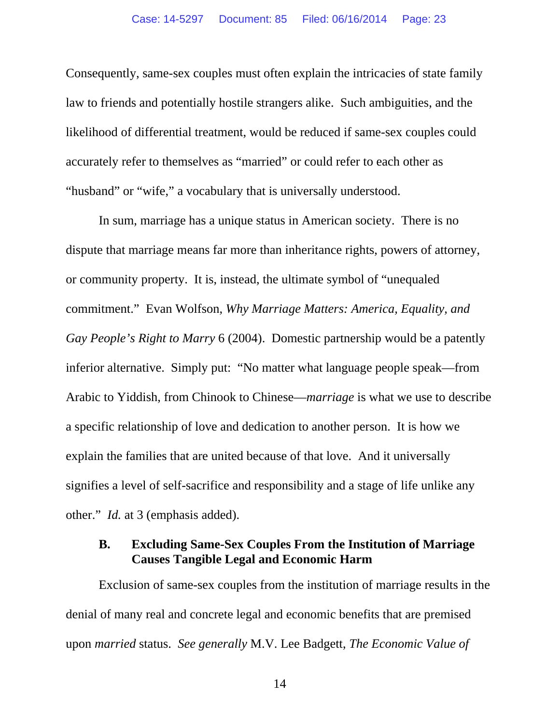Consequently, same-sex couples must often explain the intricacies of state family law to friends and potentially hostile strangers alike. Such ambiguities, and the likelihood of differential treatment, would be reduced if same-sex couples could accurately refer to themselves as "married" or could refer to each other as "husband" or "wife," a vocabulary that is universally understood.

In sum, marriage has a unique status in American society. There is no dispute that marriage means far more than inheritance rights, powers of attorney, or community property. It is, instead, the ultimate symbol of "unequaled commitment." Evan Wolfson, *Why Marriage Matters: America, Equality, and Gay People's Right to Marry* 6 (2004). Domestic partnership would be a patently inferior alternative. Simply put: "No matter what language people speak—from Arabic to Yiddish, from Chinook to Chinese—*marriage* is what we use to describe a specific relationship of love and dedication to another person. It is how we explain the families that are united because of that love. And it universally signifies a level of self-sacrifice and responsibility and a stage of life unlike any other." *Id.* at 3 (emphasis added).

## **B. Excluding Same-Sex Couples From the Institution of Marriage Causes Tangible Legal and Economic Harm**

Exclusion of same-sex couples from the institution of marriage results in the denial of many real and concrete legal and economic benefits that are premised upon *married* status. *See generally* M.V. Lee Badgett, *The Economic Value of* 

14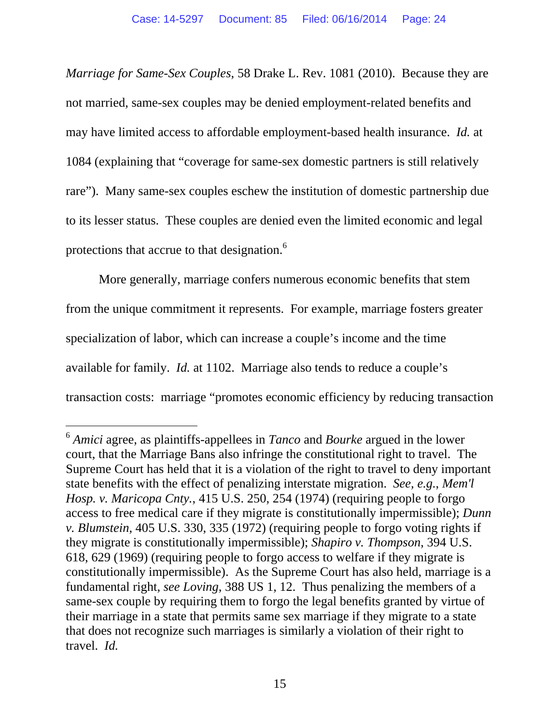*Marriage for Same-Sex Couples*, 58 Drake L. Rev. 1081 (2010). Because they are not married, same-sex couples may be denied employment-related benefits and may have limited access to affordable employment-based health insurance. *Id.* at 1084 (explaining that "coverage for same-sex domestic partners is still relatively rare"). Many same-sex couples eschew the institution of domestic partnership due to its lesser status. These couples are denied even the limited economic and legal protections that accrue to that designation.<sup>6</sup>

More generally, marriage confers numerous economic benefits that stem from the unique commitment it represents. For example, marriage fosters greater specialization of labor, which can increase a couple's income and the time available for family. *Id.* at 1102. Marriage also tends to reduce a couple's transaction costs: marriage "promotes economic efficiency by reducing transaction

 $\overline{a}$ 

<sup>6</sup> *Amici* agree, as plaintiffs-appellees in *Tanco* and *Bourke* argued in the lower court, that the Marriage Bans also infringe the constitutional right to travel. The Supreme Court has held that it is a violation of the right to travel to deny important state benefits with the effect of penalizing interstate migration. *See, e.g.*, *Mem'l Hosp. v. Maricopa Cnty.*, 415 U.S. 250, 254 (1974) (requiring people to forgo access to free medical care if they migrate is constitutionally impermissible); *Dunn v. Blumstein*, 405 U.S. 330, 335 (1972) (requiring people to forgo voting rights if they migrate is constitutionally impermissible); *Shapiro v. Thompson*, 394 U.S. 618, 629 (1969) (requiring people to forgo access to welfare if they migrate is constitutionally impermissible). As the Supreme Court has also held, marriage is a fundamental right, *see Loving*, 388 US 1, 12. Thus penalizing the members of a same-sex couple by requiring them to forgo the legal benefits granted by virtue of their marriage in a state that permits same sex marriage if they migrate to a state that does not recognize such marriages is similarly a violation of their right to travel. *Id.*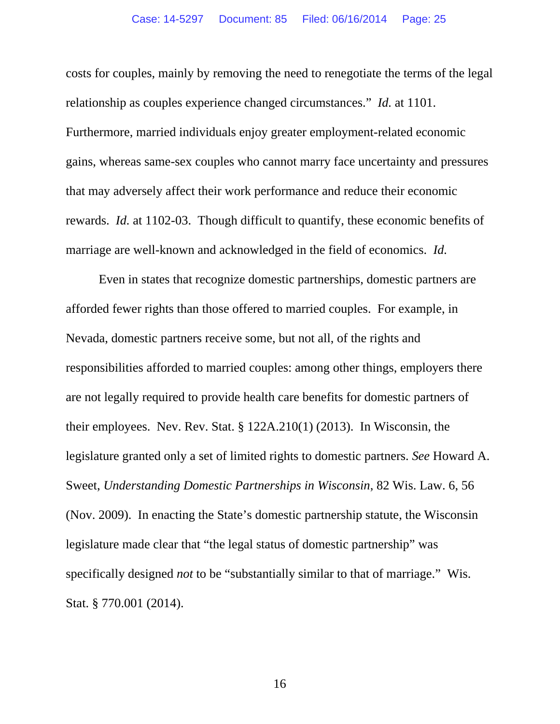costs for couples, mainly by removing the need to renegotiate the terms of the legal relationship as couples experience changed circumstances." *Id.* at 1101. Furthermore, married individuals enjoy greater employment-related economic gains, whereas same-sex couples who cannot marry face uncertainty and pressures that may adversely affect their work performance and reduce their economic rewards. *Id.* at 1102-03. Though difficult to quantify, these economic benefits of marriage are well-known and acknowledged in the field of economics. *Id.*

Even in states that recognize domestic partnerships, domestic partners are afforded fewer rights than those offered to married couples. For example, in Nevada, domestic partners receive some, but not all, of the rights and responsibilities afforded to married couples: among other things, employers there are not legally required to provide health care benefits for domestic partners of their employees. Nev. Rev. Stat. § 122A.210(1) (2013). In Wisconsin, the legislature granted only a set of limited rights to domestic partners. *See* Howard A. Sweet, *Understanding Domestic Partnerships in Wisconsin*, 82 Wis. Law. 6, 56 (Nov. 2009). In enacting the State's domestic partnership statute, the Wisconsin legislature made clear that "the legal status of domestic partnership" was specifically designed *not* to be "substantially similar to that of marriage." Wis. Stat. § 770.001 (2014).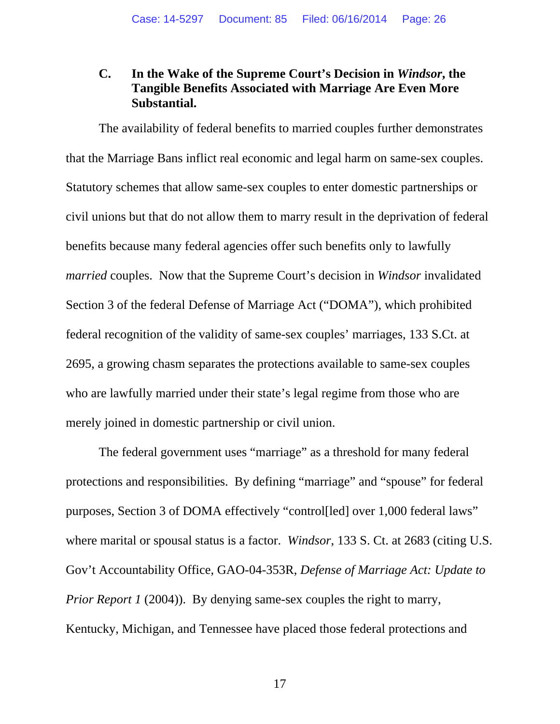## **C. In the Wake of the Supreme Court's Decision in** *Windsor***, the Tangible Benefits Associated with Marriage Are Even More Substantial.**

The availability of federal benefits to married couples further demonstrates that the Marriage Bans inflict real economic and legal harm on same-sex couples. Statutory schemes that allow same-sex couples to enter domestic partnerships or civil unions but that do not allow them to marry result in the deprivation of federal benefits because many federal agencies offer such benefits only to lawfully *married* couples. Now that the Supreme Court's decision in *Windsor* invalidated Section 3 of the federal Defense of Marriage Act ("DOMA"), which prohibited federal recognition of the validity of same-sex couples' marriages, 133 S.Ct. at 2695, a growing chasm separates the protections available to same-sex couples who are lawfully married under their state's legal regime from those who are merely joined in domestic partnership or civil union.

The federal government uses "marriage" as a threshold for many federal protections and responsibilities. By defining "marriage" and "spouse" for federal purposes, Section 3 of DOMA effectively "control[led] over 1,000 federal laws" where marital or spousal status is a factor. *Windsor*, 133 S. Ct. at 2683 (citing U.S. Gov't Accountability Office, GAO-04-353R, *Defense of Marriage Act: Update to Prior Report 1* (2004)). By denying same-sex couples the right to marry, Kentucky, Michigan, and Tennessee have placed those federal protections and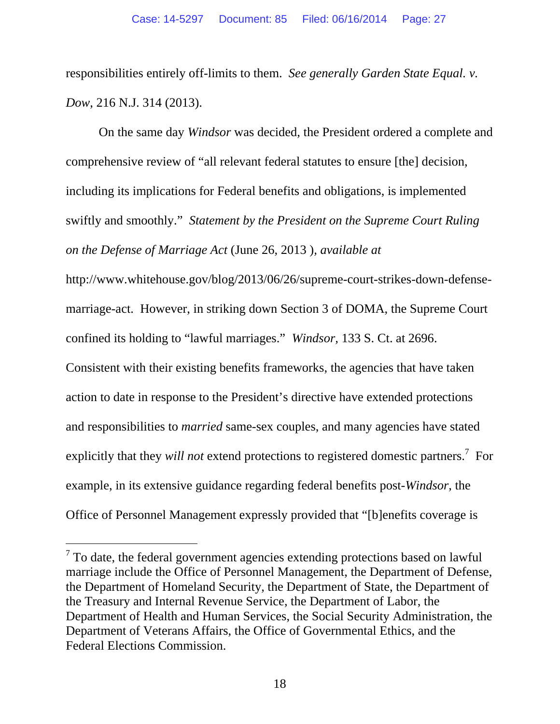responsibilities entirely off-limits to them. *See generally Garden State Equal. v. Dow*, 216 N.J. 314 (2013).

On the same day *Windsor* was decided, the President ordered a complete and comprehensive review of "all relevant federal statutes to ensure [the] decision, including its implications for Federal benefits and obligations, is implemented swiftly and smoothly." *Statement by the President on the Supreme Court Ruling on the Defense of Marriage Act* (June 26, 2013 )*, available at* 

http://www.whitehouse.gov/blog/2013/06/26/supreme-court-strikes-down-defensemarriage-act. However, in striking down Section 3 of DOMA, the Supreme Court confined its holding to "lawful marriages." *Windsor,* 133 S. Ct. at 2696.

Consistent with their existing benefits frameworks, the agencies that have taken action to date in response to the President's directive have extended protections and responsibilities to *married* same-sex couples, and many agencies have stated explicitly that they *will not* extend protections to registered domestic partners.<sup>7</sup> For example, in its extensive guidance regarding federal benefits post-*Windsor*, the Office of Personnel Management expressly provided that "[b]enefits coverage is

-

 $7$  To date, the federal government agencies extending protections based on lawful marriage include the Office of Personnel Management, the Department of Defense, the Department of Homeland Security, the Department of State, the Department of the Treasury and Internal Revenue Service, the Department of Labor, the Department of Health and Human Services, the Social Security Administration, the Department of Veterans Affairs, the Office of Governmental Ethics, and the Federal Elections Commission.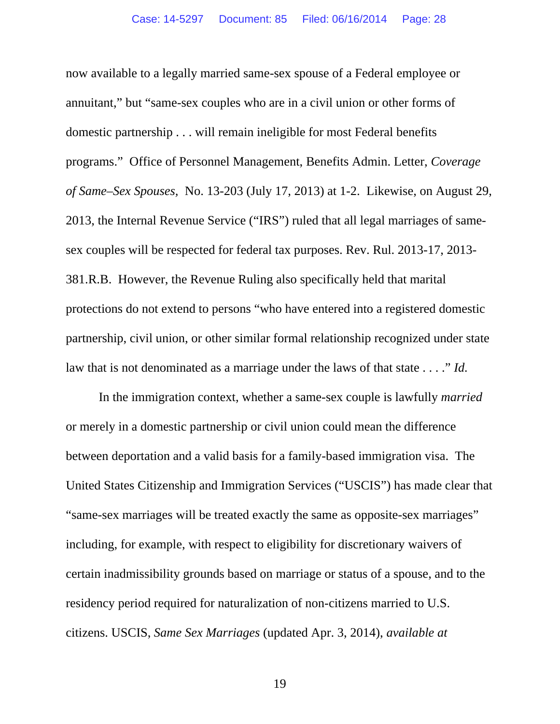now available to a legally married same-sex spouse of a Federal employee or annuitant," but "same-sex couples who are in a civil union or other forms of domestic partnership . . . will remain ineligible for most Federal benefits programs." Office of Personnel Management, Benefits Admin. Letter, *Coverage of Same–Sex Spouses,* No. 13-203 (July 17, 2013) at 1-2. Likewise, on August 29, 2013, the Internal Revenue Service ("IRS") ruled that all legal marriages of samesex couples will be respected for federal tax purposes. Rev. Rul. 2013-17, 2013- 381.R.B. However, the Revenue Ruling also specifically held that marital protections do not extend to persons "who have entered into a registered domestic partnership, civil union, or other similar formal relationship recognized under state law that is not denominated as a marriage under the laws of that state . . . ." *Id.* 

In the immigration context, whether a same-sex couple is lawfully *married*  or merely in a domestic partnership or civil union could mean the difference between deportation and a valid basis for a family-based immigration visa. The United States Citizenship and Immigration Services ("USCIS") has made clear that "same-sex marriages will be treated exactly the same as opposite-sex marriages" including, for example, with respect to eligibility for discretionary waivers of certain inadmissibility grounds based on marriage or status of a spouse, and to the residency period required for naturalization of non-citizens married to U.S. citizens. USCIS, *Same Sex Marriages* (updated Apr. 3, 2014), *available at* 

19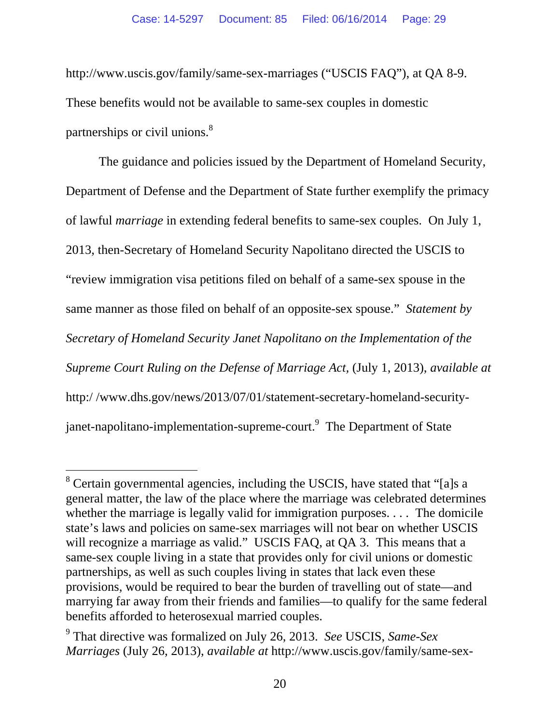http://www.uscis.gov/family/same-sex-marriages ("USCIS FAQ"), at QA 8-9. These benefits would not be available to same-sex couples in domestic partnerships or civil unions.<sup>8</sup>

The guidance and policies issued by the Department of Homeland Security, Department of Defense and the Department of State further exemplify the primacy of lawful *marriage* in extending federal benefits to same-sex couples. On July 1, 2013, then-Secretary of Homeland Security Napolitano directed the USCIS to "review immigration visa petitions filed on behalf of a same-sex spouse in the same manner as those filed on behalf of an opposite-sex spouse." *Statement by Secretary of Homeland Security Janet Napolitano on the Implementation of the Supreme Court Ruling on the Defense of Marriage Act,* (July 1, 2013), *available at* http:/ /www.dhs.gov/news/2013/07/01/statement-secretary-homeland-securityjanet-napolitano-implementation-supreme-court.<sup>9</sup> The Department of State

-

<sup>&</sup>lt;sup>8</sup> Certain governmental agencies, including the USCIS, have stated that "[a]s a general matter, the law of the place where the marriage was celebrated determines whether the marriage is legally valid for immigration purposes. . . . The domicile state's laws and policies on same-sex marriages will not bear on whether USCIS will recognize a marriage as valid." USCIS FAQ, at QA 3. This means that a same-sex couple living in a state that provides only for civil unions or domestic partnerships, as well as such couples living in states that lack even these provisions, would be required to bear the burden of travelling out of state—and marrying far away from their friends and families—to qualify for the same federal benefits afforded to heterosexual married couples.

<sup>9</sup> That directive was formalized on July 26, 2013. *See* USCIS, *Same-Sex Marriages* (July 26, 2013), *available at* http://www.uscis.gov/family/same-sex-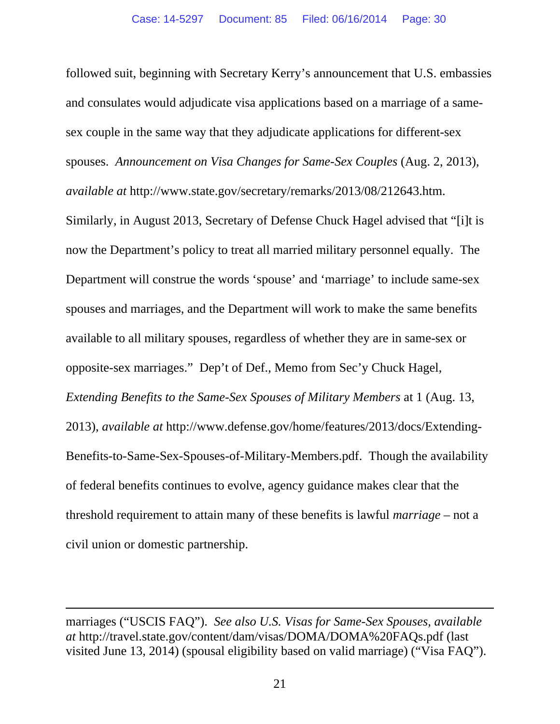followed suit, beginning with Secretary Kerry's announcement that U.S. embassies and consulates would adjudicate visa applications based on a marriage of a samesex couple in the same way that they adjudicate applications for different-sex spouses. *Announcement on Visa Changes for Same-Sex Couples* (Aug. 2, 2013), *available at* http://www.state.gov/secretary/remarks/2013/08/212643.htm. Similarly, in August 2013, Secretary of Defense Chuck Hagel advised that "[i]t is now the Department's policy to treat all married military personnel equally. The Department will construe the words 'spouse' and 'marriage' to include same-sex spouses and marriages, and the Department will work to make the same benefits available to all military spouses, regardless of whether they are in same-sex or opposite-sex marriages." Dep't of Def., Memo from Sec'y Chuck Hagel, *Extending Benefits to the Same-Sex Spouses of Military Members* at 1 (Aug. 13, 2013), *available at* http://www.defense.gov/home/features/2013/docs/Extending-Benefits-to-Same-Sex-Spouses-of-Military-Members.pdf. Though the availability of federal benefits continues to evolve, agency guidance makes clear that the threshold requirement to attain many of these benefits is lawful *marriage* – not a civil union or domestic partnership.

 $\overline{a}$ 

marriages ("USCIS FAQ"). *See also U.S. Visas for Same-Sex Spouses, available at* http://travel.state.gov/content/dam/visas/DOMA/DOMA%20FAQs.pdf (last visited June 13, 2014) (spousal eligibility based on valid marriage) ("Visa FAQ").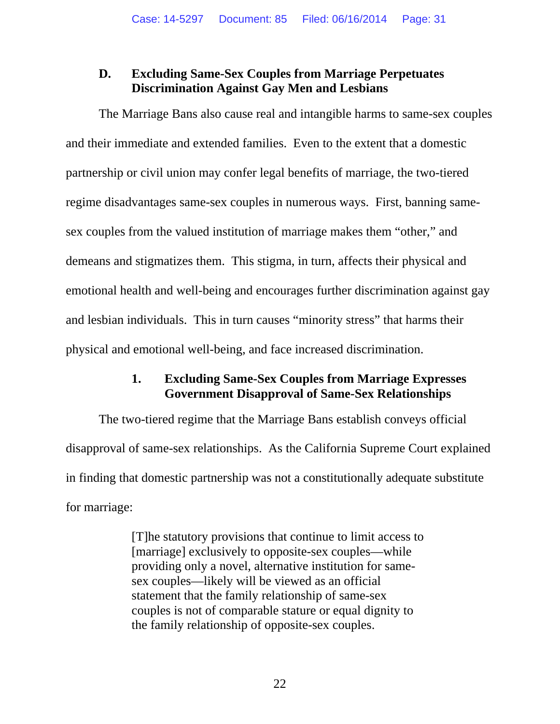## **D. Excluding Same-Sex Couples from Marriage Perpetuates Discrimination Against Gay Men and Lesbians**

The Marriage Bans also cause real and intangible harms to same-sex couples and their immediate and extended families. Even to the extent that a domestic partnership or civil union may confer legal benefits of marriage, the two-tiered regime disadvantages same-sex couples in numerous ways. First, banning samesex couples from the valued institution of marriage makes them "other," and demeans and stigmatizes them. This stigma, in turn, affects their physical and emotional health and well-being and encourages further discrimination against gay and lesbian individuals. This in turn causes "minority stress" that harms their physical and emotional well-being, and face increased discrimination.

## **1. Excluding Same-Sex Couples from Marriage Expresses Government Disapproval of Same-Sex Relationships**

The two-tiered regime that the Marriage Bans establish conveys official disapproval of same-sex relationships. As the California Supreme Court explained in finding that domestic partnership was not a constitutionally adequate substitute for marriage:

> [T]he statutory provisions that continue to limit access to [marriage] exclusively to opposite-sex couples—while providing only a novel, alternative institution for samesex couples—likely will be viewed as an official statement that the family relationship of same-sex couples is not of comparable stature or equal dignity to the family relationship of opposite-sex couples.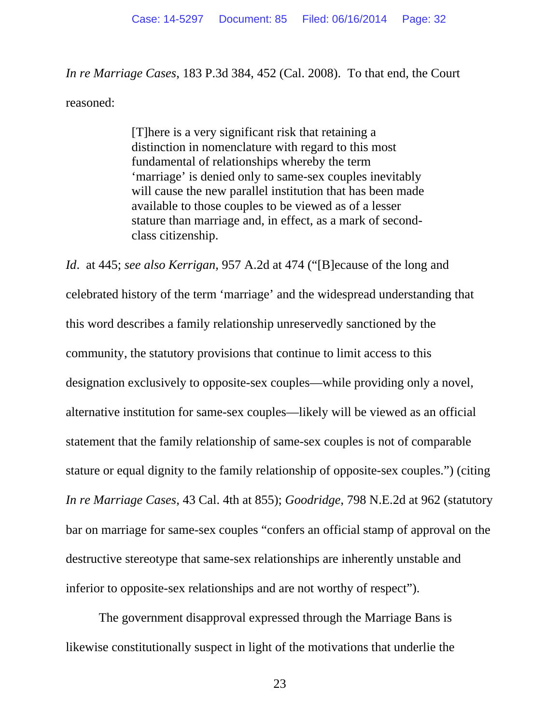*In re Marriage Cases*, 183 P.3d 384, 452 (Cal. 2008). To that end, the Court reasoned:

> [T]here is a very significant risk that retaining a distinction in nomenclature with regard to this most fundamental of relationships whereby the term 'marriage' is denied only to same-sex couples inevitably will cause the new parallel institution that has been made available to those couples to be viewed as of a lesser stature than marriage and, in effect, as a mark of secondclass citizenship.

*Id*. at 445; *see also Kerrigan*, 957 A.2d at 474 ("[B]ecause of the long and celebrated history of the term 'marriage' and the widespread understanding that this word describes a family relationship unreservedly sanctioned by the community, the statutory provisions that continue to limit access to this designation exclusively to opposite-sex couples—while providing only a novel, alternative institution for same-sex couples—likely will be viewed as an official statement that the family relationship of same-sex couples is not of comparable stature or equal dignity to the family relationship of opposite-sex couples.") (citing *In re Marriage Cases*, 43 Cal. 4th at 855); *Goodridge*, 798 N.E.2d at 962 (statutory bar on marriage for same-sex couples "confers an official stamp of approval on the destructive stereotype that same-sex relationships are inherently unstable and inferior to opposite-sex relationships and are not worthy of respect").

The government disapproval expressed through the Marriage Bans is likewise constitutionally suspect in light of the motivations that underlie the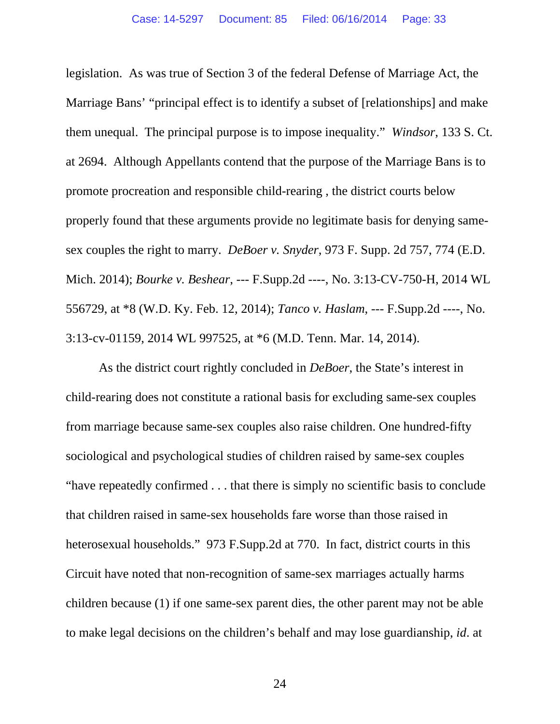legislation. As was true of Section 3 of the federal Defense of Marriage Act, the Marriage Bans' "principal effect is to identify a subset of [relationships] and make them unequal. The principal purpose is to impose inequality." *Windsor*, 133 S. Ct. at 2694. Although Appellants contend that the purpose of the Marriage Bans is to promote procreation and responsible child-rearing , the district courts below properly found that these arguments provide no legitimate basis for denying samesex couples the right to marry. *DeBoer v. Snyder*, 973 F. Supp. 2d 757, 774 (E.D. Mich. 2014); *Bourke v. Beshear*, --- F.Supp.2d ----, No. 3:13-CV-750-H, 2014 WL 556729, at \*8 (W.D. Ky. Feb. 12, 2014); *Tanco v. Haslam*, --- F.Supp.2d ----, No. 3:13-cv-01159, 2014 WL 997525, at \*6 (M.D. Tenn. Mar. 14, 2014).

As the district court rightly concluded in *DeBoer*, the State's interest in child-rearing does not constitute a rational basis for excluding same-sex couples from marriage because same-sex couples also raise children. One hundred-fifty sociological and psychological studies of children raised by same-sex couples "have repeatedly confirmed . . . that there is simply no scientific basis to conclude that children raised in same-sex households fare worse than those raised in heterosexual households." 973 F.Supp.2d at 770. In fact, district courts in this Circuit have noted that non-recognition of same-sex marriages actually harms children because (1) if one same-sex parent dies, the other parent may not be able to make legal decisions on the children's behalf and may lose guardianship, *id*. at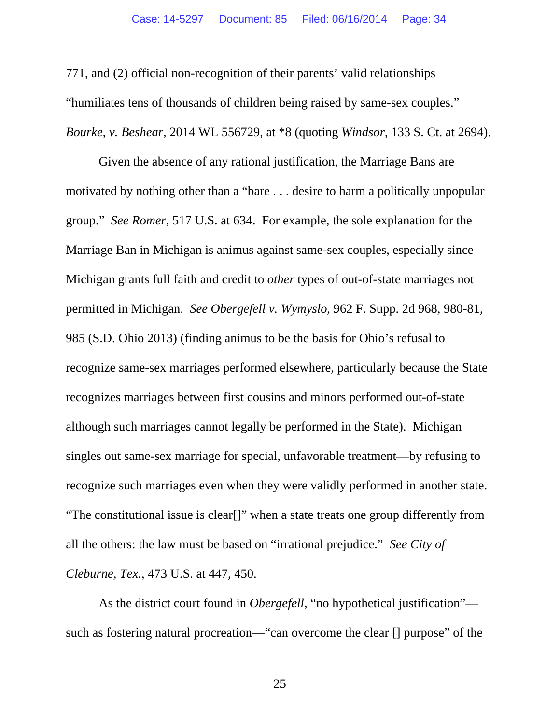771, and (2) official non-recognition of their parents' valid relationships "humiliates tens of thousands of children being raised by same-sex couples." *Bourke*, *v. Beshear*, 2014 WL 556729, at \*8 (quoting *Windsor*, 133 S. Ct. at 2694).

Given the absence of any rational justification, the Marriage Bans are motivated by nothing other than a "bare . . . desire to harm a politically unpopular group." *See Romer*, 517 U.S. at 634. For example, the sole explanation for the Marriage Ban in Michigan is animus against same-sex couples, especially since Michigan grants full faith and credit to *other* types of out-of-state marriages not permitted in Michigan. *See Obergefell v. Wymyslo*, 962 F. Supp. 2d 968, 980-81, 985 (S.D. Ohio 2013) (finding animus to be the basis for Ohio's refusal to recognize same-sex marriages performed elsewhere, particularly because the State recognizes marriages between first cousins and minors performed out-of-state although such marriages cannot legally be performed in the State). Michigan singles out same-sex marriage for special, unfavorable treatment—by refusing to recognize such marriages even when they were validly performed in another state. "The constitutional issue is clear[]" when a state treats one group differently from all the others: the law must be based on "irrational prejudice." *See City of Cleburne, Tex.*, 473 U.S. at 447, 450.

As the district court found in *Obergefell*, "no hypothetical justification" such as fostering natural procreation—"can overcome the clear [] purpose" of the

25 and 25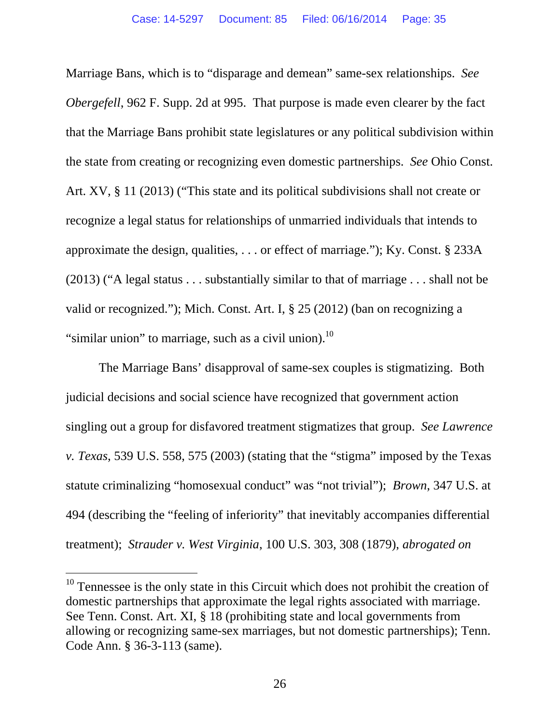Marriage Bans, which is to "disparage and demean" same-sex relationships. *See Obergefell*, 962 F. Supp. 2d at 995. That purpose is made even clearer by the fact that the Marriage Bans prohibit state legislatures or any political subdivision within the state from creating or recognizing even domestic partnerships. *See* Ohio Const. Art. XV, § 11 (2013) ("This state and its political subdivisions shall not create or recognize a legal status for relationships of unmarried individuals that intends to approximate the design, qualities, . . . or effect of marriage."); Ky. Const. § 233A (2013) ("A legal status . . . substantially similar to that of marriage . . . shall not be valid or recognized."); Mich. Const. Art. I, § 25 (2012) (ban on recognizing a "similar union" to marriage, such as a civil union). $^{10}$ 

The Marriage Bans' disapproval of same-sex couples is stigmatizing. Both judicial decisions and social science have recognized that government action singling out a group for disfavored treatment stigmatizes that group. *See Lawrence v. Texas*, 539 U.S. 558, 575 (2003) (stating that the "stigma" imposed by the Texas statute criminalizing "homosexual conduct" was "not trivial"); *Brown*, 347 U.S. at 494 (describing the "feeling of inferiority" that inevitably accompanies differential treatment); *Strauder v. West Virginia*, 100 U.S. 303, 308 (1879), *abrogated on* 

l

 $10$  Tennessee is the only state in this Circuit which does not prohibit the creation of domestic partnerships that approximate the legal rights associated with marriage. See Tenn. Const. Art. XI, § 18 (prohibiting state and local governments from allowing or recognizing same-sex marriages, but not domestic partnerships); Tenn. Code Ann. § 36-3-113 (same).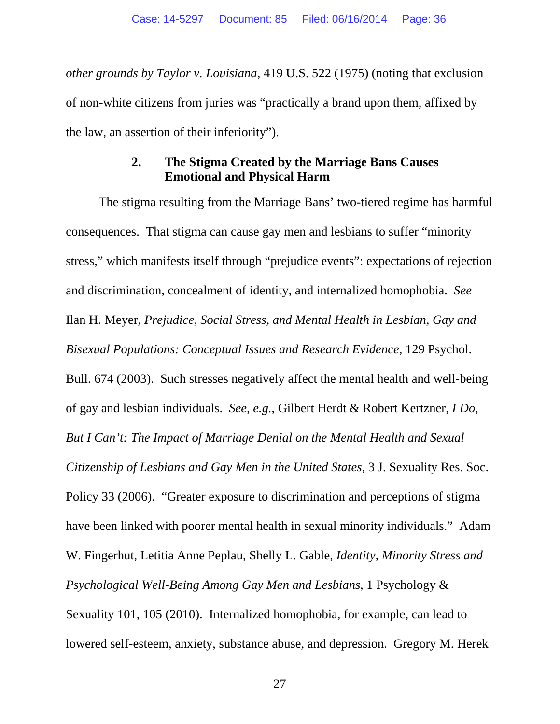*other grounds by Taylor v. Louisiana*, 419 U.S. 522 (1975) (noting that exclusion of non-white citizens from juries was "practically a brand upon them, affixed by the law, an assertion of their inferiority").

## **2. The Stigma Created by the Marriage Bans Causes Emotional and Physical Harm**

The stigma resulting from the Marriage Bans' two-tiered regime has harmful consequences. That stigma can cause gay men and lesbians to suffer "minority stress," which manifests itself through "prejudice events": expectations of rejection and discrimination, concealment of identity, and internalized homophobia. *See* Ilan H. Meyer, *Prejudice, Social Stress, and Mental Health in Lesbian, Gay and Bisexual Populations: Conceptual Issues and Research Evidence*, 129 Psychol. Bull. 674 (2003). Such stresses negatively affect the mental health and well-being of gay and lesbian individuals. *See, e.g.*, Gilbert Herdt & Robert Kertzner, *I Do, But I Can't: The Impact of Marriage Denial on the Mental Health and Sexual Citizenship of Lesbians and Gay Men in the United States*, 3 J. Sexuality Res. Soc. Policy 33 (2006). "Greater exposure to discrimination and perceptions of stigma have been linked with poorer mental health in sexual minority individuals." Adam W. Fingerhut, Letitia Anne Peplau, Shelly L. Gable, *Identity, Minority Stress and Psychological Well-Being Among Gay Men and Lesbians*, 1 Psychology & Sexuality 101, 105 (2010). Internalized homophobia, for example, can lead to lowered self-esteem, anxiety, substance abuse, and depression. Gregory M. Herek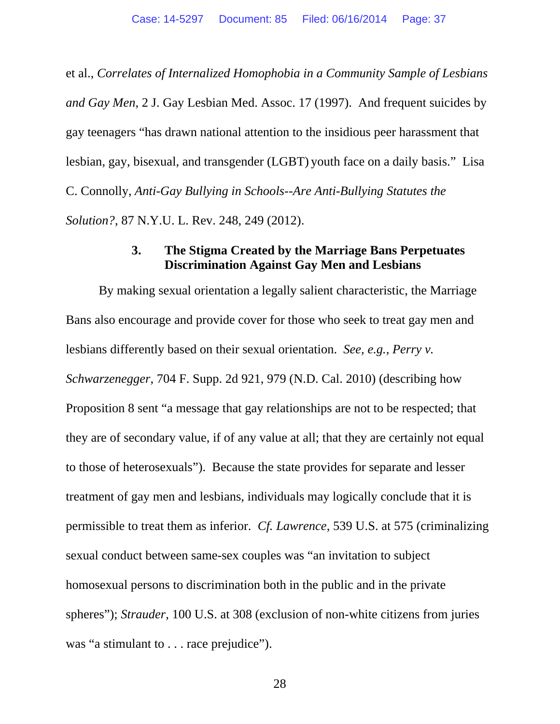et al., *Correlates of Internalized Homophobia in a Community Sample of Lesbians and Gay Men*, 2 J. Gay Lesbian Med. Assoc. 17 (1997). And frequent suicides by gay teenagers "has drawn national attention to the insidious peer harassment that lesbian, gay, bisexual, and transgender (LGBT) youth face on a daily basis." Lisa C. Connolly, *Anti-Gay Bullying in Schools--Are Anti-Bullying Statutes the Solution?*, 87 N.Y.U. L. Rev. 248, 249 (2012).

#### **3. The Stigma Created by the Marriage Bans Perpetuates Discrimination Against Gay Men and Lesbians**

By making sexual orientation a legally salient characteristic, the Marriage Bans also encourage and provide cover for those who seek to treat gay men and lesbians differently based on their sexual orientation. *See, e.g.*, *Perry v. Schwarzenegger*, 704 F. Supp. 2d 921, 979 (N.D. Cal. 2010) (describing how Proposition 8 sent "a message that gay relationships are not to be respected; that they are of secondary value, if of any value at all; that they are certainly not equal to those of heterosexuals"). Because the state provides for separate and lesser treatment of gay men and lesbians, individuals may logically conclude that it is permissible to treat them as inferior. *Cf. Lawrence*, 539 U.S. at 575 (criminalizing sexual conduct between same-sex couples was "an invitation to subject homosexual persons to discrimination both in the public and in the private spheres"); *Strauder*, 100 U.S. at 308 (exclusion of non-white citizens from juries was "a stimulant to . . . race prejudice").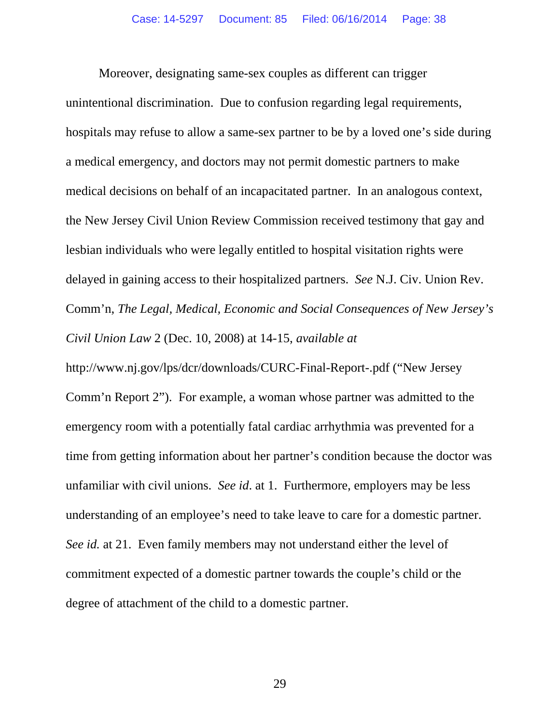Moreover, designating same-sex couples as different can trigger unintentional discrimination. Due to confusion regarding legal requirements, hospitals may refuse to allow a same-sex partner to be by a loved one's side during a medical emergency, and doctors may not permit domestic partners to make medical decisions on behalf of an incapacitated partner. In an analogous context, the New Jersey Civil Union Review Commission received testimony that gay and lesbian individuals who were legally entitled to hospital visitation rights were delayed in gaining access to their hospitalized partners. *See* N.J. Civ. Union Rev. Comm'n, *The Legal, Medical, Economic and Social Consequences of New Jersey's Civil Union Law* 2 (Dec. 10, 2008) at 14-15, *available at*

http://www.nj.gov/lps/dcr/downloads/CURC-Final-Report-.pdf ("New Jersey Comm'n Report 2"). For example, a woman whose partner was admitted to the emergency room with a potentially fatal cardiac arrhythmia was prevented for a time from getting information about her partner's condition because the doctor was unfamiliar with civil unions. *See id*. at 1. Furthermore, employers may be less understanding of an employee's need to take leave to care for a domestic partner. *See id.* at 21. Even family members may not understand either the level of commitment expected of a domestic partner towards the couple's child or the degree of attachment of the child to a domestic partner.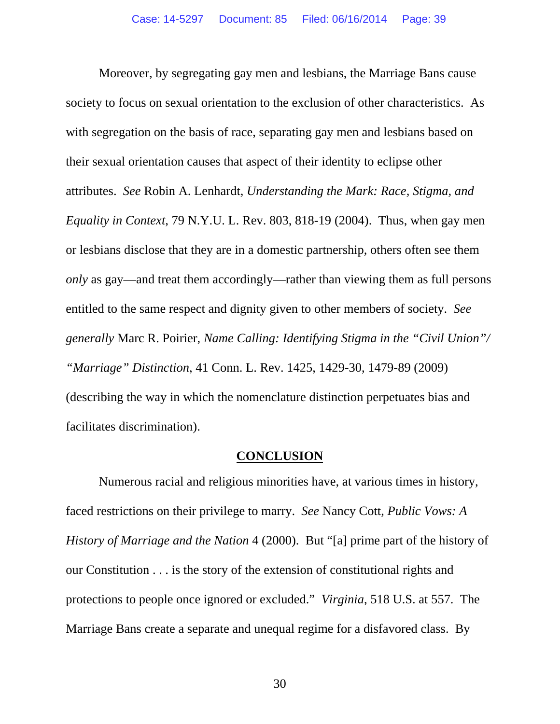Moreover, by segregating gay men and lesbians, the Marriage Bans cause society to focus on sexual orientation to the exclusion of other characteristics. As with segregation on the basis of race, separating gay men and lesbians based on their sexual orientation causes that aspect of their identity to eclipse other attributes. *See* Robin A. Lenhardt, *Understanding the Mark: Race, Stigma, and Equality in Context*, 79 N.Y.U. L. Rev. 803, 818-19 (2004). Thus, when gay men or lesbians disclose that they are in a domestic partnership, others often see them *only* as gay—and treat them accordingly—rather than viewing them as full persons entitled to the same respect and dignity given to other members of society. *See generally* Marc R. Poirier, *Name Calling: Identifying Stigma in the "Civil Union"/ "Marriage" Distinction*, 41 Conn. L. Rev. 1425, 1429-30, 1479-89 (2009) (describing the way in which the nomenclature distinction perpetuates bias and facilitates discrimination).

#### **CONCLUSION**

Numerous racial and religious minorities have, at various times in history, faced restrictions on their privilege to marry. *See* Nancy Cott, *Public Vows: A History of Marriage and the Nation* 4 (2000). But "[a] prime part of the history of our Constitution . . . is the story of the extension of constitutional rights and protections to people once ignored or excluded." *Virginia*, 518 U.S. at 557. The Marriage Bans create a separate and unequal regime for a disfavored class. By

30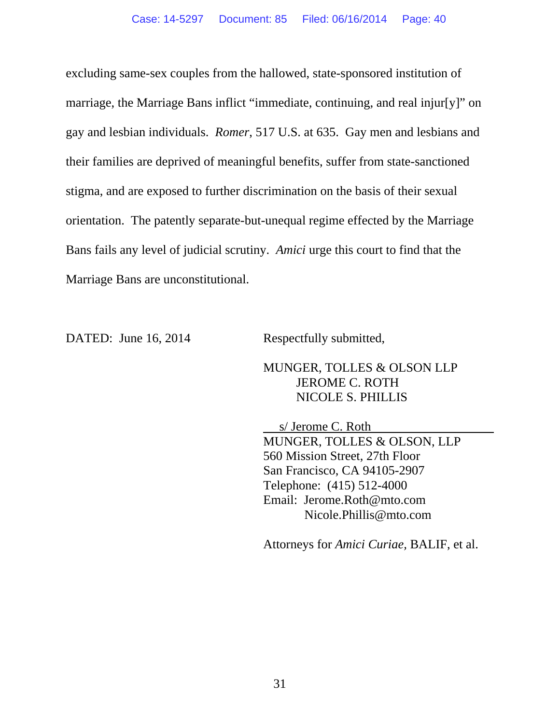excluding same-sex couples from the hallowed, state-sponsored institution of marriage, the Marriage Bans inflict "immediate, continuing, and real injur[y]" on gay and lesbian individuals. *Romer*, 517 U.S. at 635. Gay men and lesbians and their families are deprived of meaningful benefits, suffer from state-sanctioned stigma, and are exposed to further discrimination on the basis of their sexual orientation. The patently separate-but-unequal regime effected by the Marriage Bans fails any level of judicial scrutiny. *Amici* urge this court to find that the Marriage Bans are unconstitutional.

DATED: June 16, 2014 Respectfully submitted,

MUNGER, TOLLES & OLSON LLP JEROME C. ROTH NICOLE S. PHILLIS

 s/ Jerome C. Roth MUNGER, TOLLES & OLSON, LLP 560 Mission Street, 27th Floor San Francisco, CA 94105-2907 Telephone: (415) 512-4000 Email: Jerome.Roth@mto.com Nicole.Phillis@mto.com

Attorneys for *Amici Curiae,* BALIF, et al.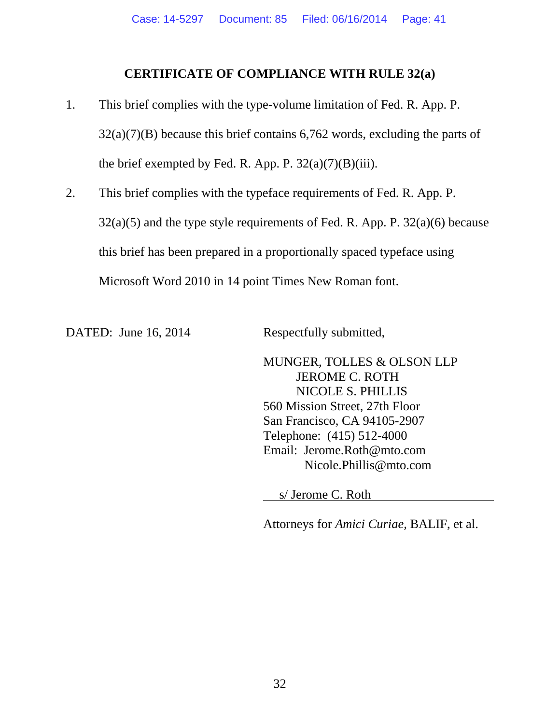### **CERTIFICATE OF COMPLIANCE WITH RULE 32(a)**

- 1. This brief complies with the type-volume limitation of Fed. R. App. P.  $32(a)(7)(B)$  because this brief contains 6,762 words, excluding the parts of the brief exempted by Fed. R. App. P.  $32(a)(7)(B)(iii)$ .
- 2. This brief complies with the typeface requirements of Fed. R. App. P.  $32(a)(5)$  and the type style requirements of Fed. R. App. P.  $32(a)(6)$  because this brief has been prepared in a proportionally spaced typeface using Microsoft Word 2010 in 14 point Times New Roman font.

DATED: June 16, 2014 Respectfully submitted,

MUNGER, TOLLES & OLSON LLP JEROME C. ROTH NICOLE S. PHILLIS 560 Mission Street, 27th Floor San Francisco, CA 94105-2907 Telephone: (415) 512-4000 Email: Jerome.Roth@mto.com Nicole.Phillis@mto.com

s/ Jerome C. Roth

Attorneys for *Amici Curiae,* BALIF, et al.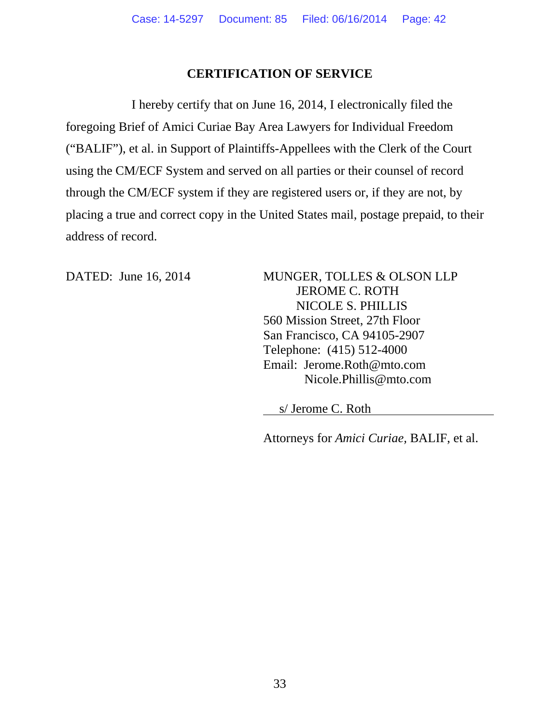## **CERTIFICATION OF SERVICE**

I hereby certify that on June 16, 2014, I electronically filed the foregoing Brief of Amici Curiae Bay Area Lawyers for Individual Freedom ("BALIF"), et al. in Support of Plaintiffs-Appellees with the Clerk of the Court using the CM/ECF System and served on all parties or their counsel of record through the CM/ECF system if they are registered users or, if they are not, by placing a true and correct copy in the United States mail, postage prepaid, to their address of record.

DATED: June 16, 2014 MUNGER, TOLLES & OLSON LLP JEROME C. ROTH NICOLE S. PHILLIS 560 Mission Street, 27th Floor San Francisco, CA 94105-2907 Telephone: (415) 512-4000 Email: Jerome.Roth@mto.com Nicole.Phillis@mto.com

s/ Jerome C. Roth

Attorneys for *Amici Curiae,* BALIF, et al.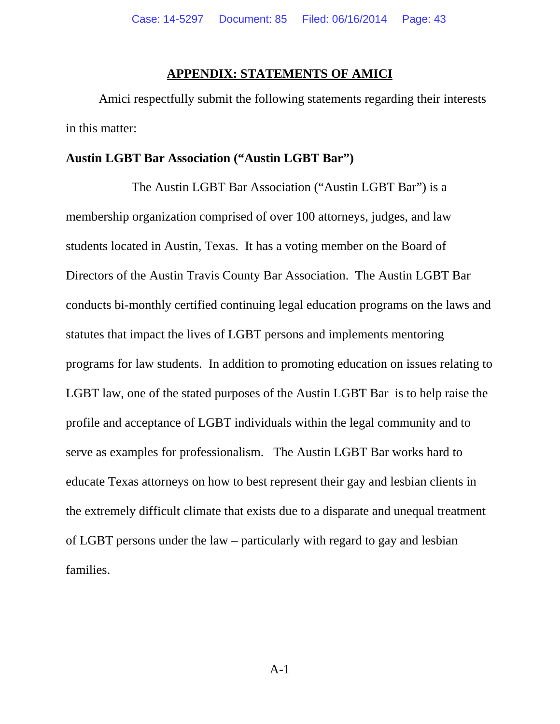#### **APPENDIX: STATEMENTS OF AMICI**

Amici respectfully submit the following statements regarding their interests in this matter:

#### **Austin LGBT Bar Association ("Austin LGBT Bar")**

The Austin LGBT Bar Association ("Austin LGBT Bar") is a membership organization comprised of over 100 attorneys, judges, and law students located in Austin, Texas. It has a voting member on the Board of Directors of the Austin Travis County Bar Association. The Austin LGBT Bar conducts bi-monthly certified continuing legal education programs on the laws and statutes that impact the lives of LGBT persons and implements mentoring programs for law students. In addition to promoting education on issues relating to LGBT law, one of the stated purposes of the Austin LGBT Bar is to help raise the profile and acceptance of LGBT individuals within the legal community and to serve as examples for professionalism. The Austin LGBT Bar works hard to educate Texas attorneys on how to best represent their gay and lesbian clients in the extremely difficult climate that exists due to a disparate and unequal treatment of LGBT persons under the law – particularly with regard to gay and lesbian families.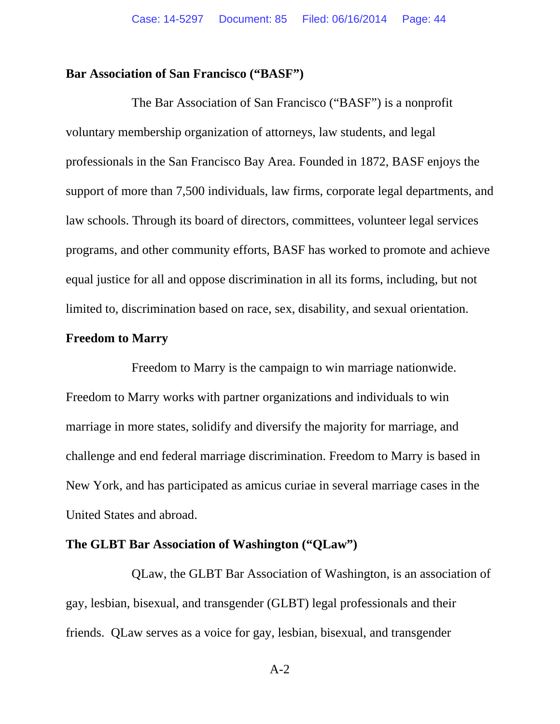#### **Bar Association of San Francisco ("BASF")**

The Bar Association of San Francisco ("BASF") is a nonprofit voluntary membership organization of attorneys, law students, and legal professionals in the San Francisco Bay Area. Founded in 1872, BASF enjoys the support of more than 7,500 individuals, law firms, corporate legal departments, and law schools. Through its board of directors, committees, volunteer legal services programs, and other community efforts, BASF has worked to promote and achieve equal justice for all and oppose discrimination in all its forms, including, but not limited to, discrimination based on race, sex, disability, and sexual orientation.

### **Freedom to Marry**

Freedom to Marry is the campaign to win marriage nationwide. Freedom to Marry works with partner organizations and individuals to win marriage in more states, solidify and diversify the majority for marriage, and challenge and end federal marriage discrimination. Freedom to Marry is based in New York, and has participated as amicus curiae in several marriage cases in the United States and abroad.

#### **The GLBT Bar Association of Washington ("QLaw")**

QLaw, the GLBT Bar Association of Washington, is an association of gay, lesbian, bisexual, and transgender (GLBT) legal professionals and their friends. QLaw serves as a voice for gay, lesbian, bisexual, and transgender

A-2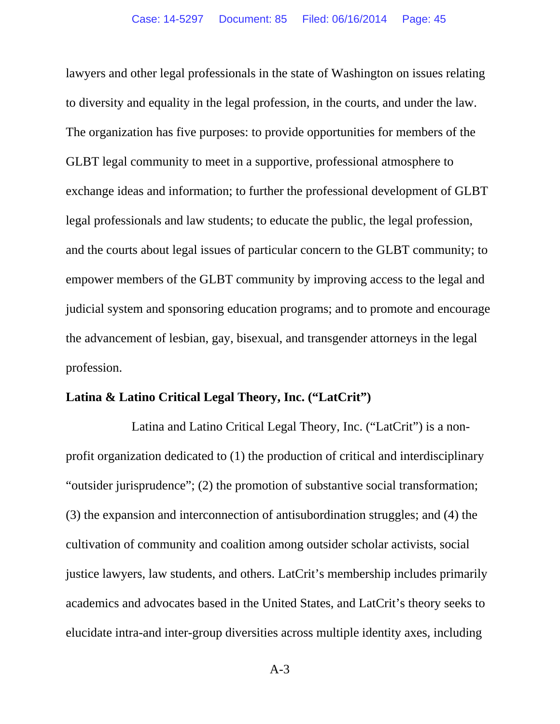lawyers and other legal professionals in the state of Washington on issues relating to diversity and equality in the legal profession, in the courts, and under the law. The organization has five purposes: to provide opportunities for members of the GLBT legal community to meet in a supportive, professional atmosphere to exchange ideas and information; to further the professional development of GLBT legal professionals and law students; to educate the public, the legal profession, and the courts about legal issues of particular concern to the GLBT community; to empower members of the GLBT community by improving access to the legal and judicial system and sponsoring education programs; and to promote and encourage the advancement of lesbian, gay, bisexual, and transgender attorneys in the legal profession.

### **Latina & Latino Critical Legal Theory, Inc. ("LatCrit")**

Latina and Latino Critical Legal Theory, Inc. ("LatCrit") is a nonprofit organization dedicated to (1) the production of critical and interdisciplinary "outsider jurisprudence"; (2) the promotion of substantive social transformation; (3) the expansion and interconnection of antisubordination struggles; and (4) the cultivation of community and coalition among outsider scholar activists, social justice lawyers, law students, and others. LatCrit's membership includes primarily academics and advocates based in the United States, and LatCrit's theory seeks to elucidate intra-and inter-group diversities across multiple identity axes, including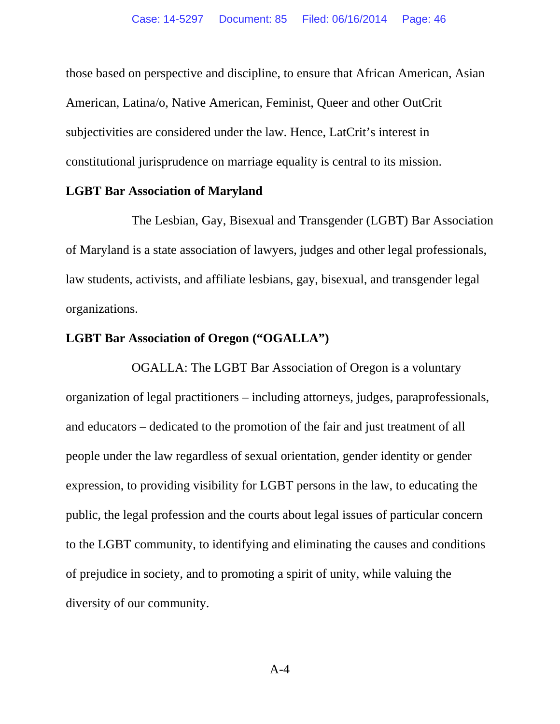those based on perspective and discipline, to ensure that African American, Asian American, Latina/o, Native American, Feminist, Queer and other OutCrit subjectivities are considered under the law. Hence, LatCrit's interest in constitutional jurisprudence on marriage equality is central to its mission.

#### **LGBT Bar Association of Maryland**

The Lesbian, Gay, Bisexual and Transgender (LGBT) Bar Association of Maryland is a state association of lawyers, judges and other legal professionals, law students, activists, and affiliate lesbians, gay, bisexual, and transgender legal organizations.

## **LGBT Bar Association of Oregon ("OGALLA")**

OGALLA: The LGBT Bar Association of Oregon is a voluntary organization of legal practitioners – including attorneys, judges, paraprofessionals, and educators – dedicated to the promotion of the fair and just treatment of all people under the law regardless of sexual orientation, gender identity or gender expression, to providing visibility for LGBT persons in the law, to educating the public, the legal profession and the courts about legal issues of particular concern to the LGBT community, to identifying and eliminating the causes and conditions of prejudice in society, and to promoting a spirit of unity, while valuing the diversity of our community.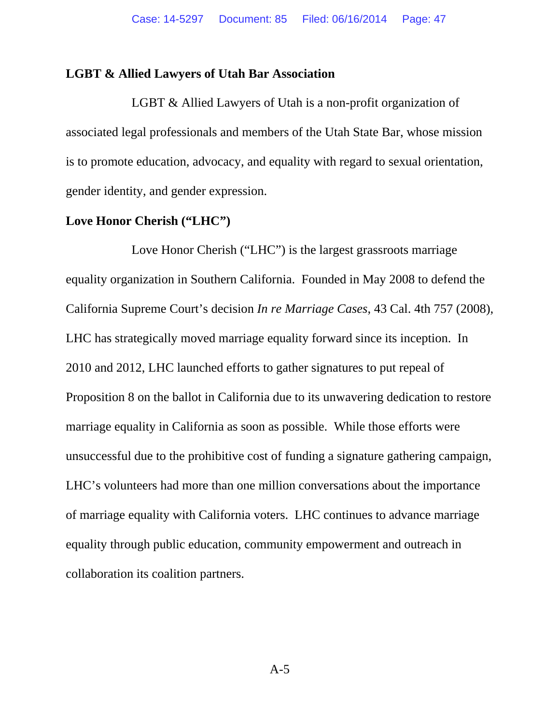#### **LGBT & Allied Lawyers of Utah Bar Association**

LGBT & Allied Lawyers of Utah is a non-profit organization of associated legal professionals and members of the Utah State Bar, whose mission is to promote education, advocacy, and equality with regard to sexual orientation, gender identity, and gender expression.

#### **Love Honor Cherish ("LHC")**

Love Honor Cherish ("LHC") is the largest grassroots marriage equality organization in Southern California. Founded in May 2008 to defend the California Supreme Court's decision *In re Marriage Cases*, 43 Cal. 4th 757 (2008), LHC has strategically moved marriage equality forward since its inception. In 2010 and 2012, LHC launched efforts to gather signatures to put repeal of Proposition 8 on the ballot in California due to its unwavering dedication to restore marriage equality in California as soon as possible. While those efforts were unsuccessful due to the prohibitive cost of funding a signature gathering campaign, LHC's volunteers had more than one million conversations about the importance of marriage equality with California voters. LHC continues to advance marriage equality through public education, community empowerment and outreach in collaboration its coalition partners.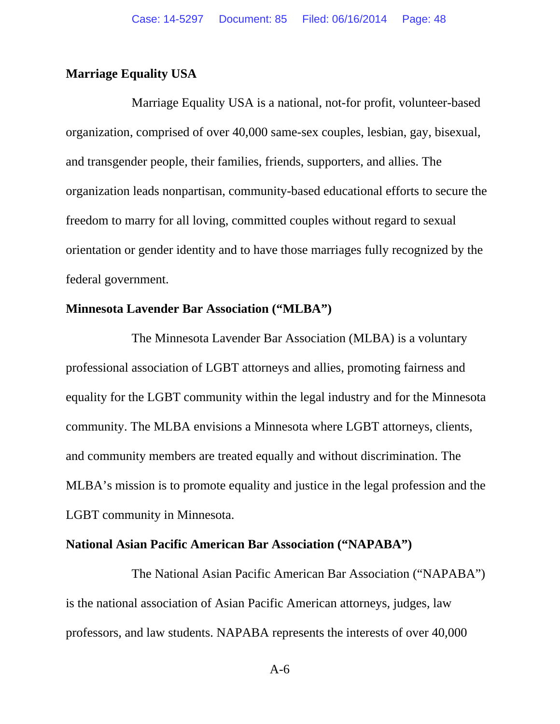### **Marriage Equality USA**

Marriage Equality USA is a national, not-for profit, volunteer-based organization, comprised of over 40,000 same-sex couples, lesbian, gay, bisexual, and transgender people, their families, friends, supporters, and allies. The organization leads nonpartisan, community-based educational efforts to secure the freedom to marry for all loving, committed couples without regard to sexual orientation or gender identity and to have those marriages fully recognized by the federal government.

#### **Minnesota Lavender Bar Association ("MLBA")**

The Minnesota Lavender Bar Association (MLBA) is a voluntary professional association of LGBT attorneys and allies, promoting fairness and equality for the LGBT community within the legal industry and for the Minnesota community. The MLBA envisions a Minnesota where LGBT attorneys, clients, and community members are treated equally and without discrimination. The MLBA's mission is to promote equality and justice in the legal profession and the LGBT community in Minnesota.

#### **National Asian Pacific American Bar Association ("NAPABA")**

The National Asian Pacific American Bar Association ("NAPABA") is the national association of Asian Pacific American attorneys, judges, law professors, and law students. NAPABA represents the interests of over 40,000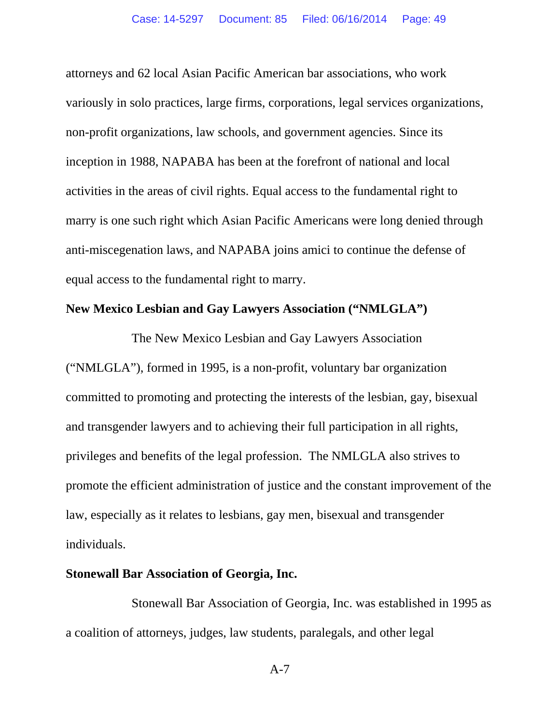attorneys and 62 local Asian Pacific American bar associations, who work variously in solo practices, large firms, corporations, legal services organizations, non-profit organizations, law schools, and government agencies. Since its inception in 1988, NAPABA has been at the forefront of national and local activities in the areas of civil rights. Equal access to the fundamental right to marry is one such right which Asian Pacific Americans were long denied through anti-miscegenation laws, and NAPABA joins amici to continue the defense of equal access to the fundamental right to marry.

## **New Mexico Lesbian and Gay Lawyers Association ("NMLGLA")**

The New Mexico Lesbian and Gay Lawyers Association ("NMLGLA"), formed in 1995, is a non-profit, voluntary bar organization committed to promoting and protecting the interests of the lesbian, gay, bisexual and transgender lawyers and to achieving their full participation in all rights, privileges and benefits of the legal profession. The NMLGLA also strives to promote the efficient administration of justice and the constant improvement of the law, especially as it relates to lesbians, gay men, bisexual and transgender individuals.

#### **Stonewall Bar Association of Georgia, Inc.**

Stonewall Bar Association of Georgia, Inc. was established in 1995 as a coalition of attorneys, judges, law students, paralegals, and other legal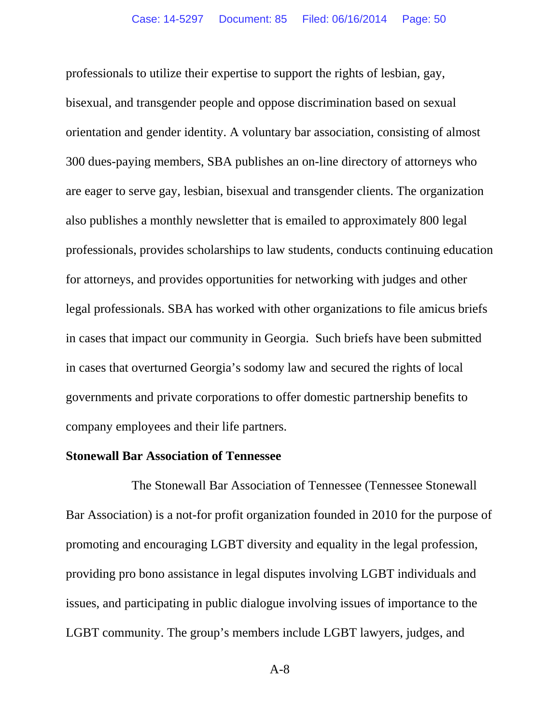professionals to utilize their expertise to support the rights of lesbian, gay, bisexual, and transgender people and oppose discrimination based on sexual orientation and gender identity. A voluntary bar association, consisting of almost 300 dues-paying members, SBA publishes an on-line directory of attorneys who are eager to serve gay, lesbian, bisexual and transgender clients. The organization also publishes a monthly newsletter that is emailed to approximately 800 legal professionals, provides scholarships to law students, conducts continuing education for attorneys, and provides opportunities for networking with judges and other legal professionals. SBA has worked with other organizations to file amicus briefs in cases that impact our community in Georgia. Such briefs have been submitted in cases that overturned Georgia's sodomy law and secured the rights of local governments and private corporations to offer domestic partnership benefits to company employees and their life partners.

#### **Stonewall Bar Association of Tennessee**

The Stonewall Bar Association of Tennessee (Tennessee Stonewall Bar Association) is a not-for profit organization founded in 2010 for the purpose of promoting and encouraging LGBT diversity and equality in the legal profession, providing pro bono assistance in legal disputes involving LGBT individuals and issues, and participating in public dialogue involving issues of importance to the LGBT community. The group's members include LGBT lawyers, judges, and

A-8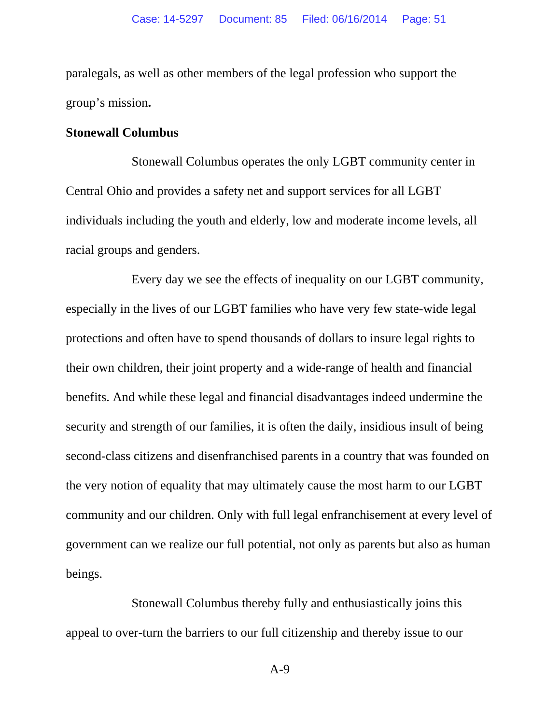paralegals, as well as other members of the legal profession who support the group's mission**.** 

#### **Stonewall Columbus**

Stonewall Columbus operates the only LGBT community center in Central Ohio and provides a safety net and support services for all LGBT individuals including the youth and elderly, low and moderate income levels, all racial groups and genders.

Every day we see the effects of inequality on our LGBT community, especially in the lives of our LGBT families who have very few state-wide legal protections and often have to spend thousands of dollars to insure legal rights to their own children, their joint property and a wide-range of health and financial benefits. And while these legal and financial disadvantages indeed undermine the security and strength of our families, it is often the daily, insidious insult of being second-class citizens and disenfranchised parents in a country that was founded on the very notion of equality that may ultimately cause the most harm to our LGBT community and our children. Only with full legal enfranchisement at every level of government can we realize our full potential, not only as parents but also as human beings.

Stonewall Columbus thereby fully and enthusiastically joins this appeal to over-turn the barriers to our full citizenship and thereby issue to our

A-9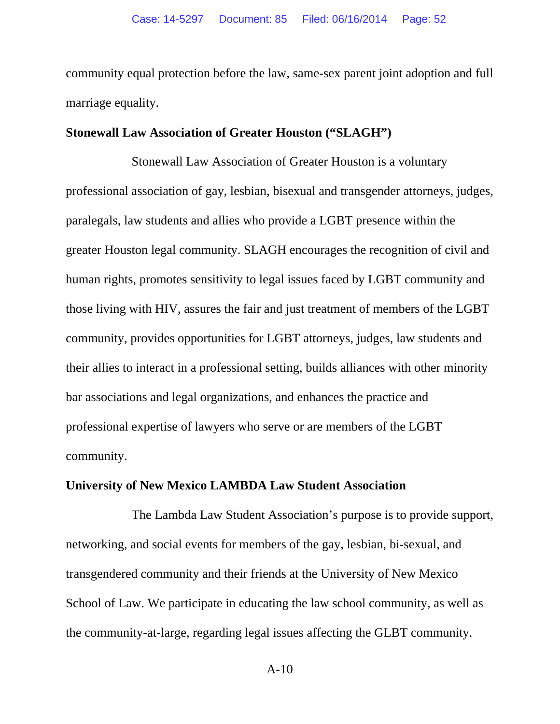community equal protection before the law, same-sex parent joint adoption and full marriage equality.

#### **Stonewall Law Association of Greater Houston ("SLAGH")**

Stonewall Law Association of Greater Houston is a voluntary professional association of gay, lesbian, bisexual and transgender attorneys, judges, paralegals, law students and allies who provide a LGBT presence within the greater Houston legal community. SLAGH encourages the recognition of civil and human rights, promotes sensitivity to legal issues faced by LGBT community and those living with HIV, assures the fair and just treatment of members of the LGBT community, provides opportunities for LGBT attorneys, judges, law students and their allies to interact in a professional setting, builds alliances with other minority bar associations and legal organizations, and enhances the practice and professional expertise of lawyers who serve or are members of the LGBT community.

#### **University of New Mexico LAMBDA Law Student Association**

The Lambda Law Student Association's purpose is to provide support, networking, and social events for members of the gay, lesbian, bi-sexual, and transgendered community and their friends at the University of New Mexico School of Law. We participate in educating the law school community, as well as the community-at-large, regarding legal issues affecting the GLBT community.